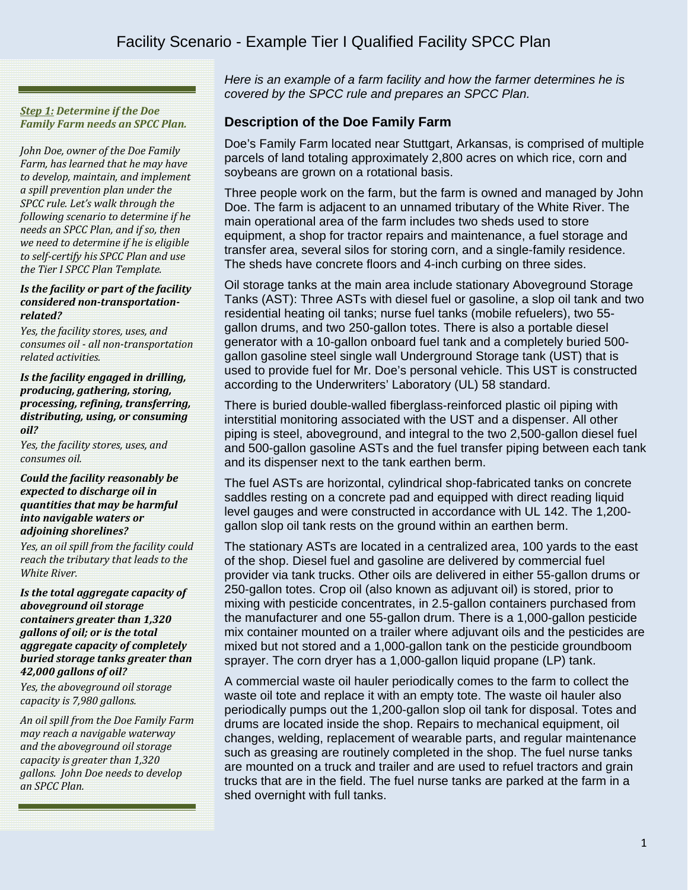# Facility Scenario - Example Tier I Qualified Facility SPCC Plan

*Step 1: Determine if the Doe Family Farm needs an SPCC Plan.*

*John Doe, owner of the Doe Family Farm, has learned that he may have to develop, maintain, and implement a spill prevention plan under the SPCC rule. Let's walk through the following scenario to determine if he needs an SPCC Plan, and if so, then we need to determine if he is eligible to self-certify his SPCC Plan and use the Tier I SPCC Plan Template.*

#### *Is the facility or part of the facility considered non-transportationrelated?*

*Yes, the facility stores, uses, and consumes oil - all non-transportation related activities.*

*Is the facility engaged in drilling, producing, gathering, storing, processing, refining, transferring, distributing, using, or consuming oil?*

*Yes, the facility stores, uses, and consumes oil.*

*Could the facility reasonably be expected to discharge oil in quantities that may be harmful into navigable waters or adjoining shorelines?*

*Yes, an oil spill from the facility could reach the tributary that leads to the White River.* 

*Is the total aggregate capacity of aboveground oil storage containers greater than 1,320 gallons of oil; or is the total aggregate capacity of completely buried storage tanks greater than 42,000 gallons of oil?*

*Yes, the aboveground oil storage capacity is 7,980 gallons.*

*An oil spill from the Doe Family Farm may reach a navigable waterway and the aboveground oil storage capacity is greater than 1,320 gallons. John Doe needs to develop an SPCC Plan.*

*Here is an example of a farm facility and how the farmer determines he is covered by the SPCC rule and prepares an SPCC Plan.*

### **Description of the Doe Family Farm**

Doe's Family Farm located near Stuttgart, Arkansas, is comprised of multiple parcels of land totaling approximately 2,800 acres on which rice, corn and soybeans are grown on a rotational basis.

Three people work on the farm, but the farm is owned and managed by John Doe. The farm is adjacent to an unnamed tributary of the White River. The main operational area of the farm includes two sheds used to store equipment, a shop for tractor repairs and maintenance, a fuel storage and transfer area, several silos for storing corn, and a single-family residence. The sheds have concrete floors and 4-inch curbing on three sides.

Oil storage tanks at the main area include stationary Aboveground Storage Tanks (AST): Three ASTs with diesel fuel or gasoline, a slop oil tank and two residential heating oil tanks; nurse fuel tanks (mobile refuelers), two 55 gallon drums, and two 250-gallon totes. There is also a portable diesel generator with a 10-gallon onboard fuel tank and a completely buried 500 gallon gasoline steel single wall Underground Storage tank (UST) that is used to provide fuel for Mr. Doe's personal vehicle. This UST is constructed according to the Underwriters' Laboratory (UL) 58 standard.

There is buried double-walled fiberglass-reinforced plastic oil piping with interstitial monitoring associated with the UST and a dispenser. All other piping is steel, aboveground, and integral to the two 2,500-gallon diesel fuel and 500-gallon gasoline ASTs and the fuel transfer piping between each tank and its dispenser next to the tank earthen berm.

The fuel ASTs are horizontal, cylindrical shop-fabricated tanks on concrete saddles resting on a concrete pad and equipped with direct reading liquid level gauges and were constructed in accordance with UL 142. The 1,200 gallon slop oil tank rests on the ground within an earthen berm.

The stationary ASTs are located in a centralized area, 100 yards to the east of the shop. Diesel fuel and gasoline are delivered by commercial fuel provider via tank trucks. Other oils are delivered in either 55-gallon drums or 250-gallon totes. Crop oil (also known as adjuvant oil) is stored, prior to mixing with pesticide concentrates, in 2.5-gallon containers purchased from the manufacturer and one 55-gallon drum. There is a 1,000-gallon pesticide mix container mounted on a trailer where adjuvant oils and the pesticides are mixed but not stored and a 1,000-gallon tank on the pesticide groundboom sprayer. The corn dryer has a 1,000-gallon liquid propane (LP) tank.

A commercial waste oil hauler periodically comes to the farm to collect the waste oil tote and replace it with an empty tote. The waste oil hauler also periodically pumps out the 1,200-gallon slop oil tank for disposal. Totes and drums are located inside the shop. Repairs to mechanical equipment, oil changes, welding, replacement of wearable parts, and regular maintenance such as greasing are routinely completed in the shop. The fuel nurse tanks are mounted on a truck and trailer and are used to refuel tractors and grain trucks that are in the field. The fuel nurse tanks are parked at the farm in a shed overnight with full tanks.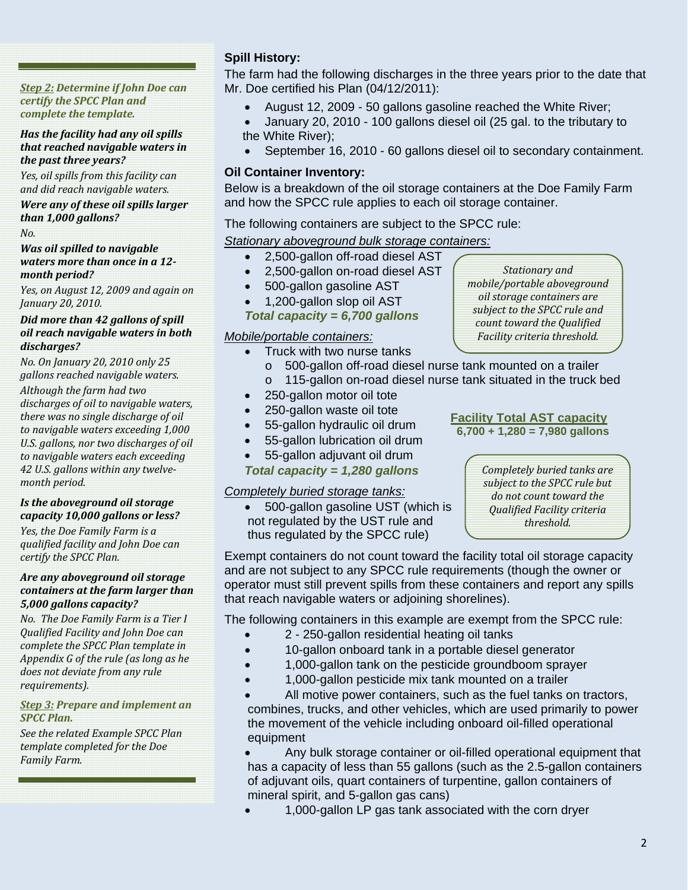*Step 2: Determine if John Doe can certify the SPCC Plan and complete the template.*

#### *Has the facility had any oil spills that reached navigable waters in the past three years?*

*Yes, oil spills from this facility can and did reach navigable waters.* 

### *Were any of these oil spills larger than 1,000 gallons?*

*No.* 

#### *Was oil spilled to navigable waters more than once in a 12 month period?*

*Yes, on August 12, 2009 and again on January 20, 2010.*

#### *Did more than 42 gallons of spill oil reach navigable waters in both discharges?*

*No. On January 20, 2010 only 25 gallons reached navigable waters. Although the farm had two* 

*discharges of oil to navigable waters, there was no single discharge of oil to navigable waters exceeding 1,000 U.S. gallons, nor two discharges of oil to navigable waters each exceeding 42 U.S. gallons within any twelvemonth period.*

#### *Is the aboveground oil storage capacity 10,000 gallons or less?*

*Yes, the Doe Family Farm is a qualified facility and John Doe can certify the SPCC Plan.*

#### *Are any aboveground oil storage containers at the farm larger than 5,000 gallons capacity?*

*No. The Doe Family Farm is a Tier I Qualified Facility and John Doe can complete the SPCC Plan template in Appendix G of the rule (as long as he does not deviate from any rule requirements).*

#### *Step 3: Prepare and implement an SPCC Plan.*

*See the related Example SPCC Plan template completed for the Doe Family Farm.*

# **Spill History:**

The farm had the following discharges in the three years prior to the date that Mr. Doe certified his Plan (04/12/2011):

- August 12, 2009 50 gallons gasoline reached the White River;
- January 20, 2010 100 gallons diesel oil (25 gal. to the tributary to the White River);
- September 16, 2010 60 gallons diesel oil to secondary containment.

# **Oil Container Inventory:**

Below is a breakdown of the oil storage containers at the Doe Family Farm and how the SPCC rule applies to each oil storage container.

The following containers are subject to the SPCC rule:

*Stationary aboveground bulk storage containers:*

- 2,500-gallon off-road diesel AST
- 2,500-gallon on-road diesel AST
- 500-gallon gasoline AST
- 1,200-gallon slop oil AST

*Total capacity = 6,700 gallons* 

### *Mobile/portable containers:*

- Truck with two nurse tanks
	- o 500-gallon off-road diesel nurse tank mounted on a trailer o 115-gallon on-road diesel nurse tank situated in the truck bed
- 250-gallon motor oil tote
- 250-gallon waste oil tote
- 55-gallon hydraulic oil drum
- 55-gallon lubrication oil drum
- 55-gallon adjuvant oil drum

### *Total capacity = 1,280 gallons*

### *Completely buried storage tanks:*

• 500-gallon gasoline UST (which is not regulated by the UST rule and thus regulated by the SPCC rule)

### **Facility Total AST capacity 6,700 + 1,280 = 7,980 gallons**



Exempt containers do not count toward the facility total oil storage capacity and are not subject to any SPCC rule requirements (though the owner or operator must still prevent spills from these containers and report any spills that reach navigable waters or adjoining shorelines).

The following containers in this example are exempt from the SPCC rule:

- 2 250-gallon residential heating oil tanks
- 10-gallon onboard tank in a portable diesel generator
- 1,000-gallon tank on the pesticide groundboom sprayer
- 1,000-gallon pesticide mix tank mounted on a trailer

All motive power containers, such as the fuel tanks on tractors, combines, trucks, and other vehicles, which are used primarily to power the movement of the vehicle including onboard oil-filled operational equipment

• Any bulk storage container or oil-filled operational equipment that has a capacity of less than 55 gallons (such as the 2.5-gallon containers of adjuvant oils, quart containers of turpentine, gallon containers of mineral spirit, and 5-gallon gas cans)

• 1,000-gallon LP gas tank associated with the corn dryer

*Stationary and mobile/portable aboveground oil storage containers are subject to the SPCC rule and count toward the Qualified Facility criteria threshold.*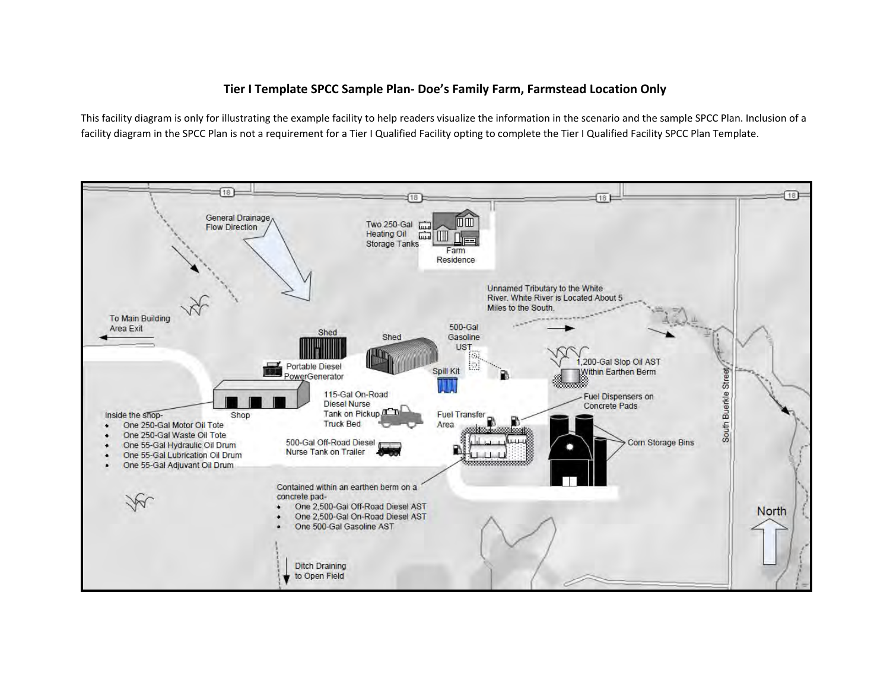### **Tier I Template SPCC Sample Plan‐ Doe's Family Farm, Farmstead Location Only**

This facility diagram is only for illustrating the example facility to help readers visualize the information in the scenario and the sample SPCC Plan. Inclusion of <sup>a</sup> facility diagram in the SPCC Plan is not a requirement for a Tier I Qualified Facility opting to complete the Tier I Qualified Facility SPCC Plan Template.

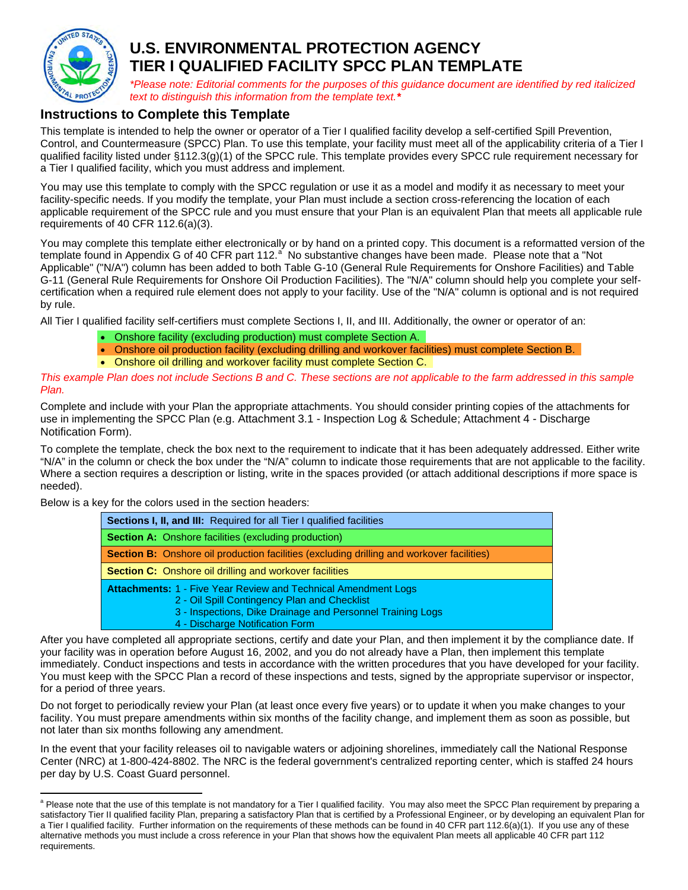

# **U.S. ENVIRONMENTAL PROTECTION AGENCY TIER I QUALIFIED FACILITY SPCC PLAN TEMPLATE**

*\*Please note: Editorial comments for the purposes of this guidance document are identified by red italicized text to distinguish this information from the template text.\** 

# **Instructions to Complete this Template**

This template is intended to help the owner or operator of a Tier I qualified facility develop a self-certified Spill Prevention, Control, and Countermeasure (SPCC) Plan. To use this template, your facility must meet all of the applicability criteria of a Tier I qualified facility listed under §112.3(g)(1) of the SPCC rule. This template provides every SPCC rule requirement necessary for a Tier I qualified facility, which you must address and implement.

You may use this template to comply with the SPCC regulation or use it as a model and modify it as necessary to meet your facility-specific needs. If you modify the template, your Plan must include a section cross-referencing the location of each applicable requirement of the SPCC rule and you must ensure that your Plan is an equivalent Plan that meets all applicable rule requirements of 40 CFR 112.6(a)(3).

You may complete this template either electronically or by hand on a printed copy. This document is a reformatted version of the templ[a](#page-3-0)te found in Appendix G of 40 CFR part 112.<sup>a</sup> No substantive changes have been made. Please note that a "Not Applicable" ("N/A") column has been added to both Table G-10 (General Rule Requirements for Onshore Facilities) and Table G-11 (General Rule Requirements for Onshore Oil Production Facilities). The "N/A" column should help you complete your selfcertification when a required rule element does not apply to your facility. Use of the "N/A" column is optional and is not required by rule.

All Tier I qualified facility self-certifiers must complete Sections I, II, and III. Additionally, the owner or operator of an:

- Onshore facility (excluding production) must complete Section A.
- Onshore oil production facility (excluding drilling and workover facilities) must complete Section B.
- Onshore oil drilling and workover facility must complete Section C.

*This example Plan does not include Sections B and C. These sections are not applicable to the farm addressed in this sample Plan.* 

Complete and include with your Plan the appropriate attachments. You should consider printing copies of the attachments for use in implementing the SPCC Plan (e.g. Attachment 3.1 - Inspection Log & Schedule; Attachment 4 - Discharge Notification Form).

To complete the template, check the box next to the requirement to indicate that it has been adequately addressed. Either write "N/A" in the column or check the box under the "N/A" column to indicate those requirements that are not applicable to the facility. Where a section requires a description or listing, write in the spaces provided (or attach additional descriptions if more space is needed).

Below is a key for the colors used in the section headers:

| Sections I, II, and III: Required for all Tier I qualified facilities                                                                                                                                                  |
|------------------------------------------------------------------------------------------------------------------------------------------------------------------------------------------------------------------------|
| <b>Section A:</b> Onshore facilities (excluding production)                                                                                                                                                            |
| <b>Section B:</b> Onshore oil production facilities (excluding drilling and workover facilities)                                                                                                                       |
| <b>Section C:</b> Onshore oil drilling and workover facilities                                                                                                                                                         |
| <b>Attachments: 1 - Five Year Review and Technical Amendment Logs</b><br>2 - Oil Spill Contingency Plan and Checklist<br>3 - Inspections, Dike Drainage and Personnel Training Logs<br>4 - Discharge Notification Form |

After you have completed all appropriate sections, certify and date your Plan, and then implement it by the compliance date. If your facility was in operation before August 16, 2002, and you do not already have a Plan, then implement this template immediately. Conduct inspections and tests in accordance with the written procedures that you have developed for your facility. You must keep with the SPCC Plan a record of these inspections and tests, signed by the appropriate supervisor or inspector, for a period of three years.

Do not forget to periodically review your Plan (at least once every five years) or to update it when you make changes to your facility. You must prepare amendments within six months of the facility change, and implement them as soon as possible, but not later than six months following any amendment.

In the event that your facility releases oil to navigable waters or adjoining shorelines, immediately call the National Response Center (NRC) at 1-800-424-8802. The NRC is the federal government's centralized reporting center, which is staffed 24 hours per day by U.S. Coast Guard personnel.

<span id="page-3-0"></span>and a Please note that the use of this template is not mandatory for a Tier I qualified facility. You may also meet the SPCC Plan requirement by preparing a preparing a satisfactory Tier II qualified facility Plan, preparing a satisfactory Plan that is certified by a Professional Engineer, or by developing an equivalent Plan for a Tier I qualified facility. Further information on the requirements of these methods can be found in 40 CFR part 112.6(a)(1). If you use any of these alternative methods you must include a cross reference in your Plan that shows how the equivalent Plan meets all applicable 40 CFR part 112 requirements.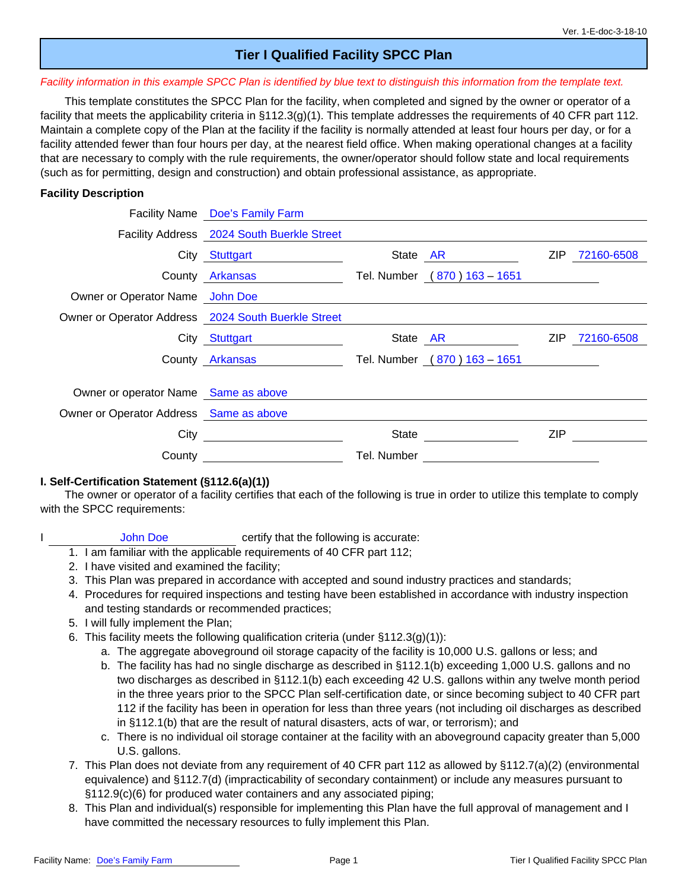# **Tier I Qualified Facility SPCC Plan**

#### *Facility information in this example SPCC Plan is identified by blue text to distinguish this information from the template text.*

This template constitutes the SPCC Plan for the facility, when completed and signed by the owner or operator of a facility that meets the applicability criteria in §112.3(g)(1). This template addresses the requirements of 40 CFR part 112. Maintain a complete copy of the Plan at the facility if the facility is normally attended at least four hours per day, or for a facility attended fewer than four hours per day, at the nearest field office. When making operational changes at a facility that are necessary to comply with the rule requirements, the owner/operator should follow state and local requirements (such as for permitting, design and construction) and obtain professional assistance, as appropriate.

#### **Facility Description**

|                                                     | Facility Name Doe's Family Farm            |             |                              |      |                |
|-----------------------------------------------------|--------------------------------------------|-------------|------------------------------|------|----------------|
|                                                     | Facility Address 2024 South Buerkle Street |             |                              |      |                |
|                                                     | City Stuttgart                             |             | State AR                     | ZIP. | 72160-6508     |
|                                                     | County Arkansas                            |             | Tel. Number (870) 163 - 1651 |      |                |
| Owner or Operator Name John Doe                     |                                            |             |                              |      |                |
| Owner or Operator Address 2024 South Buerkle Street |                                            |             |                              |      |                |
|                                                     | City Stuttgart                             |             | State AR                     |      | ZIP 72160-6508 |
|                                                     | County Arkansas                            |             | Tel. Number (870) 163 - 1651 |      |                |
| Owner or operator Name Same as above                |                                            |             |                              |      |                |
| Owner or Operator Address Same as above             |                                            |             |                              |      |                |
| City                                                |                                            | State       |                              | ZIP  |                |
| County                                              |                                            | Tel. Number |                              |      |                |

#### **I. Self-Certification Statement (§112.6(a)(1))**

The owner or operator of a facility certifies that each of the following is true in order to utilize this template to comply with the SPCC requirements:

- I John Doe certify that the following is accurate:
	- 1. I am familiar with the applicable requirements of 40 CFR part 112;
	- 2. I have visited and examined the facility;
	- 3. This Plan was prepared in accordance with accepted and sound industry practices and standards;
	- 4. Procedures for required inspections and testing have been established in accordance with industry inspection and testing standards or recommended practices;
	- 5. I will fully implement the Plan;
	- 6. This facility meets the following qualification criteria (under  $\S 112.3(q)(1)$ ):
		- a. The aggregate aboveground oil storage capacity of the facility is 10,000 U.S. gallons or less; and
		- b. The facility has had no single discharge as described in §112.1(b) exceeding 1,000 U.S. gallons and no two discharges as described in §112.1(b) each exceeding 42 U.S. gallons within any twelve month period in the three years prior to the SPCC Plan self-certification date, or since becoming subject to 40 CFR part 112 if the facility has been in operation for less than three years (not including oil discharges as described in §112.1(b) that are the result of natural disasters, acts of war, or terrorism); and
		- c. There is no individual oil storage container at the facility with an aboveground capacity greater than 5,000 U.S. gallons.
	- 7. This Plan does not deviate from any requirement of 40 CFR part 112 as allowed by §112.7(a)(2) (environmental equivalence) and §112.7(d) (impracticability of secondary containment) or include any measures pursuant to §112.9(c)(6) for produced water containers and any associated piping;
	- 8. This Plan and individual(s) responsible for implementing this Plan have the full approval of management and I have committed the necessary resources to fully implement this Plan.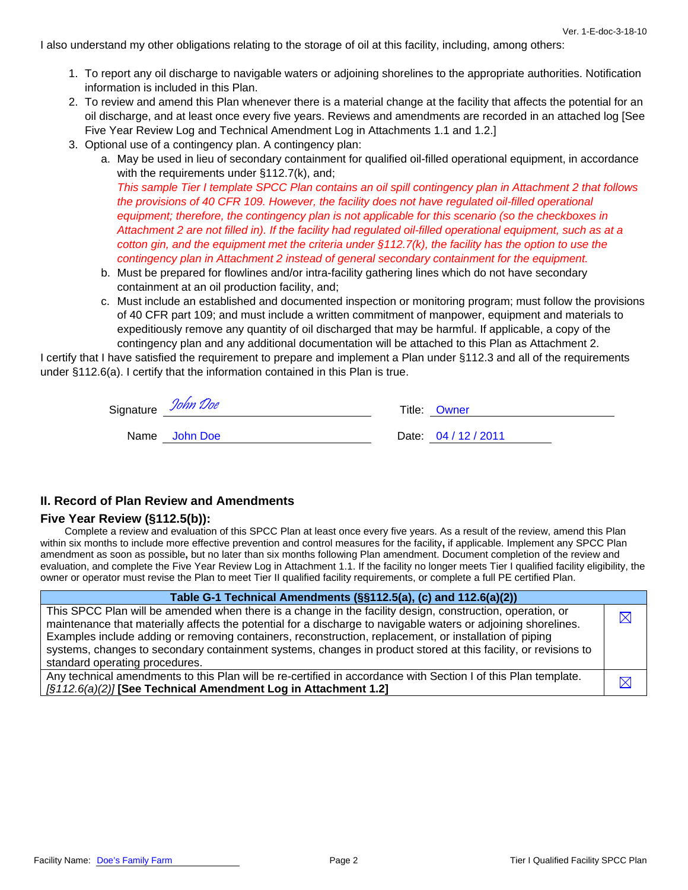I also understand my other obligations relating to the storage of oil at this facility, including, among others:

- 1. To report any oil discharge to navigable waters or adjoining shorelines to the appropriate authorities. Notification information is included in this Plan.
- 2. To review and amend this Plan whenever there is a material change at the facility that affects the potential for an oil discharge, and at least once every five years. Reviews and amendments are recorded in an attached log [See Five Year Review Log and Technical Amendment Log in Attachments 1.1 and 1.2.]
- 3. Optional use of a contingency plan. A contingency plan:
	- a. May be used in lieu of secondary containment for qualified oil-filled operational equipment, in accordance with the requirements under §112.7(k), and;

*This sample Tier I template SPCC Plan contains an oil spill contingency plan in Attachment 2 that follows the provisions of 40 CFR 109. However, the facility does not have regulated oil-filled operational equipment; therefore, the contingency plan is not applicable for this scenario (so the checkboxes in Attachment 2 are not filled in). If the facility had regulated oil-filled operational equipment, such as at a cotton gin, and the equipment met the criteria under §112.7(k), the facility has the option to use the contingency plan in Attachment 2 instead of general secondary containment for the equipment.*

- b. Must be prepared for flowlines and/or intra-facility gathering lines which do not have secondary containment at an oil production facility, and;
- c. Must include an established and documented inspection or monitoring program; must follow the provisions of 40 CFR part 109; and must include a written commitment of manpower, equipment and materials to expeditiously remove any quantity of oil discharged that may be harmful. If applicable, a copy of the contingency plan and any additional documentation will be attached to this Plan as Attachment 2.

I certify that I have satisfied the requirement to prepare and implement a Plan under §112.3 and all of the requirements under §112.6(a). I certify that the information contained in this Plan is true.

| Signature John Doe | Title: Owner         |
|--------------------|----------------------|
| Name John Doe      | Date: 04 / 12 / 2011 |

#### **II. Record of Plan Review and Amendments**

#### **Five Year Review (§112.5(b)):**

Complete a review and evaluation of this SPCC Plan at least once every five years. As a result of the review, amend this Plan within six months to include more effective prevention and control measures for the facility**,** if applicable. Implement any SPCC Plan amendment as soon as possible**,** but no later than six months following Plan amendment. Document completion of the review and evaluation, and complete the Five Year Review Log in Attachment 1.1. If the facility no longer meets Tier I qualified facility eligibility, the owner or operator must revise the Plan to meet Tier II qualified facility requirements, or complete a full PE certified Plan.

| Table G-1 Technical Amendments (§§112.5(a), (c) and 112.6(a)(2))                                                                                                                                                            |             |
|-----------------------------------------------------------------------------------------------------------------------------------------------------------------------------------------------------------------------------|-------------|
| This SPCC Plan will be amended when there is a change in the facility design, construction, operation, or<br>maintenance that materially affects the potential for a discharge to navigable waters or adjoining shorelines. | $\boxtimes$ |
| Examples include adding or removing containers, reconstruction, replacement, or installation of piping                                                                                                                      |             |
| systems, changes to secondary containment systems, changes in product stored at this facility, or revisions to                                                                                                              |             |
| standard operating procedures.                                                                                                                                                                                              |             |
| Any technical amendments to this Plan will be re-certified in accordance with Section I of this Plan template.                                                                                                              |             |
| [§112.6(a)(2)] [See Technical Amendment Log in Attachment 1.2]                                                                                                                                                              | IX          |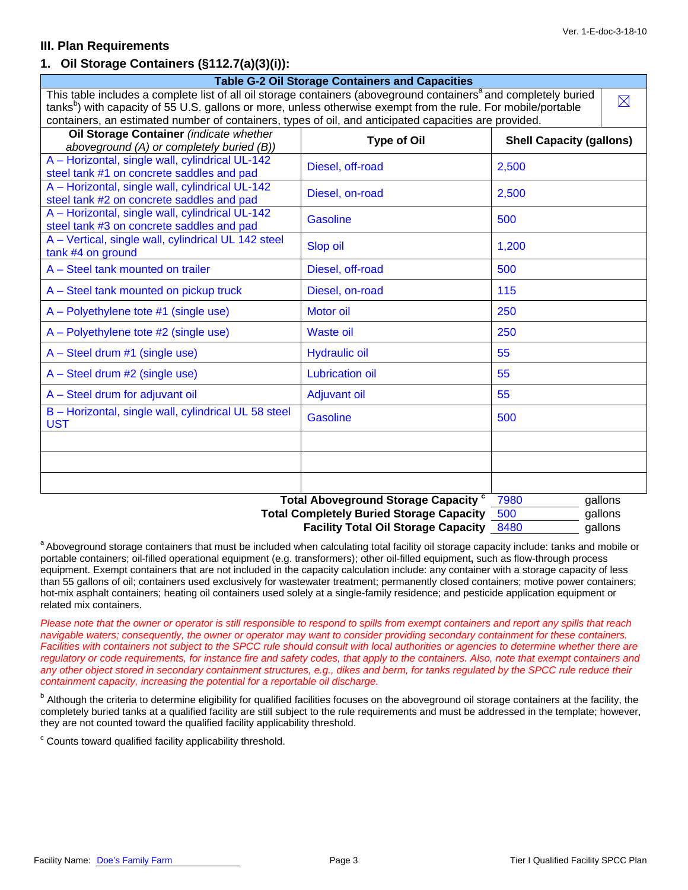### **III. Plan Requirements**

### **1. Oil Storage Containers (§112.7(a)(3)(i)):**

|                                                                                                                              | <b>Table G-2 Oil Storage Containers and Capacities</b> |                                 |             |  |
|------------------------------------------------------------------------------------------------------------------------------|--------------------------------------------------------|---------------------------------|-------------|--|
| This table includes a complete list of all oil storage containers (aboveground containers <sup>a</sup> and completely buried |                                                        |                                 | $\boxtimes$ |  |
| tanks <sup>b</sup> ) with capacity of 55 U.S. gallons or more, unless otherwise exempt from the rule. For mobile/portable    |                                                        |                                 |             |  |
| containers, an estimated number of containers, types of oil, and anticipated capacities are provided.                        |                                                        |                                 |             |  |
| Oil Storage Container (indicate whether<br>aboveground (A) or completely buried (B))                                         | <b>Type of Oil</b>                                     | <b>Shell Capacity (gallons)</b> |             |  |
| A - Horizontal, single wall, cylindrical UL-142                                                                              |                                                        |                                 |             |  |
| steel tank #1 on concrete saddles and pad                                                                                    | Diesel, off-road                                       | 2,500                           |             |  |
| A - Horizontal, single wall, cylindrical UL-142                                                                              |                                                        |                                 |             |  |
| steel tank #2 on concrete saddles and pad                                                                                    | Diesel, on-road                                        | 2,500                           |             |  |
| A - Horizontal, single wall, cylindrical UL-142                                                                              | Gasoline                                               |                                 |             |  |
| steel tank #3 on concrete saddles and pad                                                                                    |                                                        | 500                             |             |  |
| A - Vertical, single wall, cylindrical UL 142 steel                                                                          | Slop oil                                               | 1,200                           |             |  |
| tank #4 on ground                                                                                                            |                                                        |                                 |             |  |
| A - Steel tank mounted on trailer                                                                                            | Diesel, off-road                                       | 500                             |             |  |
| A – Steel tank mounted on pickup truck                                                                                       | Diesel, on-road                                        | 115                             |             |  |
| A – Polyethylene tote #1 (single use)                                                                                        | Motor oil                                              | 250                             |             |  |
| A - Polyethylene tote #2 (single use)                                                                                        | <b>Waste oil</b>                                       | 250                             |             |  |
| $A - Steel$ drum #1 (single use)                                                                                             | <b>Hydraulic oil</b>                                   | 55                              |             |  |
| $A - Steel$ drum #2 (single use)                                                                                             | <b>Lubrication oil</b>                                 | 55                              |             |  |
| A - Steel drum for adjuvant oil                                                                                              | <b>Adjuvant oil</b>                                    | 55                              |             |  |
| B - Horizontal, single wall, cylindrical UL 58 steel<br><b>UST</b>                                                           | <b>Gasoline</b>                                        | 500                             |             |  |
|                                                                                                                              |                                                        |                                 |             |  |
|                                                                                                                              |                                                        |                                 |             |  |
|                                                                                                                              |                                                        |                                 |             |  |
|                                                                                                                              | <b>Total Aboveground Storage Capacity "</b>            | 7980                            | gallons     |  |
|                                                                                                                              | <b>Total Completely Buried Storage Capacity</b>        | 500                             | gallons     |  |

**Facility Total Oil Storage Capacity** 8480 \_\_\_\_\_\_\_\_ gallons

<sup>a</sup> Aboveground storage containers that must be included when calculating total facility oil storage capacity include: tanks and mobile or portable containers; oil-filled operational equipment (e.g. transformers); other oil-filled equipment**,** such as flow-through process equipment. Exempt containers that are not included in the capacity calculation include: any container with a storage capacity of less than 55 gallons of oil; containers used exclusively for wastewater treatment; permanently closed containers; motive power containers; hot-mix asphalt containers; heating oil containers used solely at a single-family residence; and pesticide application equipment or related mix containers.

*Please note that the owner or operator is still responsible to respond to spills from exempt containers and report any spills that reach navigable waters; consequently, the owner or operator may want to consider providing secondary containment for these containers. Facilities with containers not subject to the SPCC rule should consult with local authorities or agencies to determine whether there are regulatory or code requirements, for instance fire and safety codes, that apply to the containers. Also, note that exempt containers and any other object stored in secondary containment structures, e.g., dikes and berm, for tanks regulated by the SPCC rule reduce their containment capacity, increasing the potential for a reportable oil discharge.* 

<sup>b</sup> Although the criteria to determine eligibility for qualified facilities focuses on the aboveground oil storage containers at the facility, the completely buried tanks at a qualified facility are still subject to the rule requirements and must be addressed in the template; however, they are not counted toward the qualified facility applicability threshold.

<sup>c</sup> Counts toward qualified facility applicability threshold.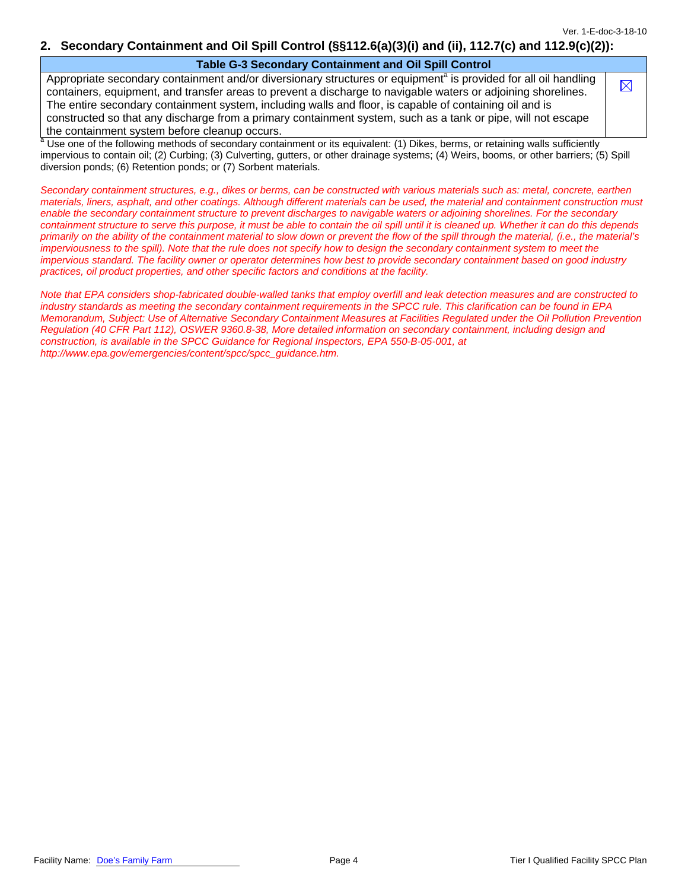$\boxtimes$ 

#### **2. Secondary Containment and Oil Spill Control (§§112.6(a)(3)(i) and (ii), 112.7(c) and 112.9(c)(2)):**

#### **Table G-3 Secondary Containment and Oil Spill Control**

Appropriate secondary containment and/or diversionary structures or equipment<sup>a</sup> is provided for all oil handling containers, equipment, and transfer areas to prevent a discharge to navigable waters or adjoining shorelines. The entire secondary containment system, including walls and floor, is capable of containing oil and is constructed so that any discharge from a primary containment system, such as a tank or pipe, will not escape the containment system before cleanup occurs.

Use one of the following methods of secondary containment or its equivalent: (1) Dikes, berms, or retaining walls sufficiently impervious to contain oil; (2) Curbing; (3) Culverting, gutters, or other drainage systems; (4) Weirs, booms, or other barriers; (5) Spill diversion ponds; (6) Retention ponds; or (7) Sorbent materials.

*Secondary containment structures, e.g., dikes or berms, can be constructed with various materials such as: metal, concrete, earthen materials, liners, asphalt, and other coatings. Although different materials can be used, the material and containment construction must enable the secondary containment structure to prevent discharges to navigable waters or adjoining shorelines. For the secondary containment structure to serve this purpose, it must be able to contain the oil spill until it is cleaned up. Whether it can do this depends primarily on the ability of the containment material to slow down or prevent the flow of the spill through the material, (i.e., the material's imperviousness to the spill). Note that the rule does not specify how to design the secondary containment system to meet the impervious standard. The facility owner or operator determines how best to provide secondary containment based on good industry practices, oil product properties, and other specific factors and conditions at the facility.* 

*Note that EPA considers shop-fabricated double-walled tanks that employ overfill and leak detection measures and are constructed to industry standards as meeting the secondary containment requirements in the SPCC rule. This clarification can be found in EPA Memorandum, Subject: Use of Alternative Secondary Containment Measures at Facilities Regulated under the Oil Pollution Prevention Regulation (40 CFR Part 112), OSWER 9360.8-38, More detailed information on secondary containment, including design and construction, is available in the SPCC Guidance for Regional Inspectors, EPA 550-B-05-001, at http://www.epa.gov/emergencies/content/spcc/spcc\_guidance.htm.*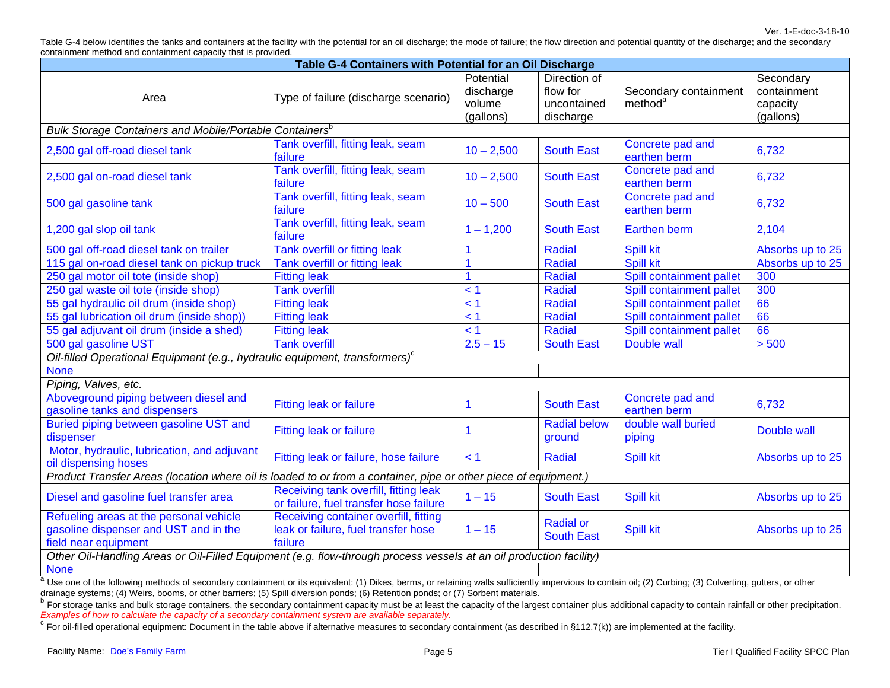Ver. 1-E-doc-3-18-10

Table G-4 below identifies the tanks and containers at the facility with the potential for an oil discharge; the mode of failure; the flow direction and potential quantity of the discharge; and the secondary containment method and containment capacity that is provided.

| Table G-4 Containers with Potential for an Oil Discharge                                                           |                                                                                         |                                               |                                                      |                                              |                                                   |
|--------------------------------------------------------------------------------------------------------------------|-----------------------------------------------------------------------------------------|-----------------------------------------------|------------------------------------------------------|----------------------------------------------|---------------------------------------------------|
| Area                                                                                                               | Type of failure (discharge scenario)                                                    | Potential<br>discharge<br>volume<br>(gallons) | Direction of<br>flow for<br>uncontained<br>discharge | Secondary containment<br>method <sup>a</sup> | Secondary<br>containment<br>capacity<br>(gallons) |
| Bulk Storage Containers and Mobile/Portable Containers <sup>b</sup>                                                |                                                                                         |                                               |                                                      |                                              |                                                   |
| 2,500 gal off-road diesel tank                                                                                     | Tank overfill, fitting leak, seam<br>failure                                            | $10 - 2,500$                                  | <b>South East</b>                                    | Concrete pad and<br>earthen berm             | 6,732                                             |
| 2,500 gal on-road diesel tank                                                                                      | Tank overfill, fitting leak, seam<br>failure                                            | $10 - 2,500$                                  | <b>South East</b>                                    | Concrete pad and<br>earthen berm             | 6,732                                             |
| 500 gal gasoline tank                                                                                              | Tank overfill, fitting leak, seam<br>failure                                            | $10 - 500$                                    | <b>South East</b>                                    | Concrete pad and<br>earthen berm             | 6,732                                             |
| 1,200 gal slop oil tank                                                                                            | Tank overfill, fitting leak, seam<br>failure                                            | $1 - 1,200$                                   | <b>South East</b>                                    | <b>Earthen berm</b>                          | 2,104                                             |
| 500 gal off-road diesel tank on trailer                                                                            | Tank overfill or fitting leak                                                           |                                               | <b>Radial</b>                                        | <b>Spill kit</b>                             | Absorbs up to 25                                  |
| 115 gal on-road diesel tank on pickup truck                                                                        | Tank overfill or fitting leak                                                           |                                               | Radial                                               | <b>Spill kit</b>                             | Absorbs up to 25                                  |
| 250 gal motor oil tote (inside shop)                                                                               | <b>Fitting leak</b>                                                                     | 1                                             | Radial                                               | Spill containment pallet                     | 300                                               |
| 250 gal waste oil tote (inside shop)                                                                               | <b>Tank overfill</b>                                                                    | < 1                                           | <b>Radial</b>                                        | Spill containment pallet                     | 300                                               |
| 55 gal hydraulic oil drum (inside shop)                                                                            | <b>Fitting leak</b>                                                                     | < 1                                           | Radial                                               | Spill containment pallet                     | 66                                                |
| 55 gal lubrication oil drum (inside shop))                                                                         | <b>Fitting leak</b>                                                                     | < 1                                           | Radial                                               | Spill containment pallet                     | 66                                                |
| 55 gal adjuvant oil drum (inside a shed)                                                                           | <b>Fitting leak</b>                                                                     | < 1                                           | Radial                                               | Spill containment pallet                     | 66                                                |
| 500 gal gasoline UST                                                                                               | <b>Tank overfill</b>                                                                    | $2.5 - 15$                                    | <b>South East</b>                                    | Double wall                                  | > 500                                             |
| Oil-filled Operational Equipment (e.g., hydraulic equipment, transformers) <sup>c</sup>                            |                                                                                         |                                               |                                                      |                                              |                                                   |
| <b>None</b>                                                                                                        |                                                                                         |                                               |                                                      |                                              |                                                   |
| Piping, Valves, etc.                                                                                               |                                                                                         |                                               |                                                      |                                              |                                                   |
| Aboveground piping between diesel and<br>gasoline tanks and dispensers                                             | Fitting leak or failure                                                                 | 1                                             | <b>South East</b>                                    | Concrete pad and<br>earthen berm             | 6,732                                             |
| Buried piping between gasoline UST and<br>dispenser                                                                | Fitting leak or failure                                                                 | $\mathbf 1$                                   | <b>Radial below</b><br>ground                        | double wall buried<br>piping                 | Double wall                                       |
| Motor, hydraulic, lubrication, and adjuvant<br>oil dispensing hoses                                                | Fitting leak or failure, hose failure                                                   | < 1                                           | Radial                                               | <b>Spill kit</b>                             | Absorbs up to 25                                  |
| Product Transfer Areas (location where oil is loaded to or from a container, pipe or other piece of equipment.)    |                                                                                         |                                               |                                                      |                                              |                                                   |
| Diesel and gasoline fuel transfer area                                                                             | Receiving tank overfill, fitting leak<br>or failure, fuel transfer hose failure         | $1 - 15$                                      | <b>South East</b>                                    | <b>Spill kit</b>                             | Absorbs up to 25                                  |
| Refueling areas at the personal vehicle<br>gasoline dispenser and UST and in the<br>field near equipment           | Receiving container overfill, fitting<br>leak or failure, fuel transfer hose<br>failure | $1 - 15$                                      | <b>Radial or</b><br><b>South East</b>                | <b>Spill kit</b>                             | Absorbs up to 25                                  |
| Other Oil-Handling Areas or Oil-Filled Equipment (e.g. flow-through process vessels at an oil production facility) |                                                                                         |                                               |                                                      |                                              |                                                   |
| <b>None</b>                                                                                                        |                                                                                         |                                               |                                                      |                                              |                                                   |

<sup>a</sup> Use one of the following methods of secondary containment or its equivalent: (1) Dikes, berms, or retaining walls sufficiently impervious to contain oil; (2) Curbing; (3) Culverting, gutters, or other drainage systems; (4) Weirs, booms, or other barriers; (5) Spill diversion ponds; (6) Retention ponds; or (7) Sorbent materials.

<sup>b</sup> For storage tanks and bulk storage containers, the secondary containment capacity must be at least the capacity of the largest container plus additional capacity to contain rainfall or other precipitation. *Examples of how to calculate the capacity of a secondary containment system are available separately.* 

 $\degree$  For oil-filled operational equipment: Document in the table above if alternative measures to secondary containment (as described in §112.7(k)) are implemented at the facility.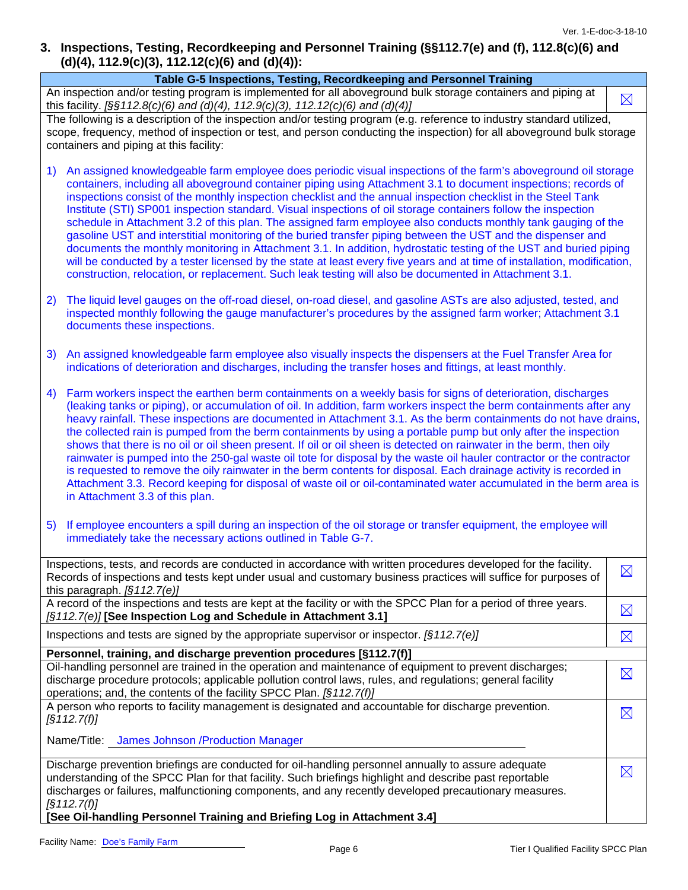### **3. Inspections, Testing, Recordkeeping and Personnel Training (§§112.7(e) and (f), 112.8(c)(6) and (d)(4), 112.9(c)(3), 112.12(c)(6) and (d)(4)):**

| Table G-5 Inspections, Testing, Recordkeeping and Personnel Training                                                                                                                                                                                                                                                                                                                                                                                                                                                                                                                                                                                                                                                                                                                                                                                                                                                                                                                                                                                                  |  |             |  |
|-----------------------------------------------------------------------------------------------------------------------------------------------------------------------------------------------------------------------------------------------------------------------------------------------------------------------------------------------------------------------------------------------------------------------------------------------------------------------------------------------------------------------------------------------------------------------------------------------------------------------------------------------------------------------------------------------------------------------------------------------------------------------------------------------------------------------------------------------------------------------------------------------------------------------------------------------------------------------------------------------------------------------------------------------------------------------|--|-------------|--|
| An inspection and/or testing program is implemented for all aboveground bulk storage containers and piping at<br>this facility. $[\S \S 112.8(c)(6)$ and (d)(4), 112.9(c)(3), 112.12(c)(6) and (d)(4)]                                                                                                                                                                                                                                                                                                                                                                                                                                                                                                                                                                                                                                                                                                                                                                                                                                                                |  | $\boxtimes$ |  |
| The following is a description of the inspection and/or testing program (e.g. reference to industry standard utilized,<br>scope, frequency, method of inspection or test, and person conducting the inspection) for all aboveground bulk storage<br>containers and piping at this facility:                                                                                                                                                                                                                                                                                                                                                                                                                                                                                                                                                                                                                                                                                                                                                                           |  |             |  |
| An assigned knowledgeable farm employee does periodic visual inspections of the farm's aboveground oil storage<br>1)<br>containers, including all aboveground container piping using Attachment 3.1 to document inspections; records of<br>inspections consist of the monthly inspection checklist and the annual inspection checklist in the Steel Tank<br>Institute (STI) SP001 inspection standard. Visual inspections of oil storage containers follow the inspection<br>schedule in Attachment 3.2 of this plan. The assigned farm employee also conducts monthly tank gauging of the<br>gasoline UST and interstitial monitoring of the buried transfer piping between the UST and the dispenser and<br>documents the monthly monitoring in Attachment 3.1. In addition, hydrostatic testing of the UST and buried piping<br>will be conducted by a tester licensed by the state at least every five years and at time of installation, modification,<br>construction, relocation, or replacement. Such leak testing will also be documented in Attachment 3.1. |  |             |  |
| The liquid level gauges on the off-road diesel, on-road diesel, and gasoline ASTs are also adjusted, tested, and<br>2)<br>inspected monthly following the gauge manufacturer's procedures by the assigned farm worker; Attachment 3.1<br>documents these inspections.                                                                                                                                                                                                                                                                                                                                                                                                                                                                                                                                                                                                                                                                                                                                                                                                 |  |             |  |
| An assigned knowledgeable farm employee also visually inspects the dispensers at the Fuel Transfer Area for<br>3)<br>indications of deterioration and discharges, including the transfer hoses and fittings, at least monthly.                                                                                                                                                                                                                                                                                                                                                                                                                                                                                                                                                                                                                                                                                                                                                                                                                                        |  |             |  |
| Farm workers inspect the earthen berm containments on a weekly basis for signs of deterioration, discharges<br>4)<br>(leaking tanks or piping), or accumulation of oil. In addition, farm workers inspect the berm containments after any<br>heavy rainfall. These inspections are documented in Attachment 3.1. As the berm containments do not have drains,<br>the collected rain is pumped from the berm containments by using a portable pump but only after the inspection<br>shows that there is no oil or oil sheen present. If oil or oil sheen is detected on rainwater in the berm, then oily<br>rainwater is pumped into the 250-gal waste oil tote for disposal by the waste oil hauler contractor or the contractor<br>is requested to remove the oily rainwater in the berm contents for disposal. Each drainage activity is recorded in<br>Attachment 3.3. Record keeping for disposal of waste oil or oil-contaminated water accumulated in the berm area is<br>in Attachment 3.3 of this plan.                                                       |  |             |  |
| If employee encounters a spill during an inspection of the oil storage or transfer equipment, the employee will<br>5)<br>immediately take the necessary actions outlined in Table G-7.                                                                                                                                                                                                                                                                                                                                                                                                                                                                                                                                                                                                                                                                                                                                                                                                                                                                                |  |             |  |
| Inspections, tests, and records are conducted in accordance with written procedures developed for the facility.<br>Records of inspections and tests kept under usual and customary business practices will suffice for purposes of<br>this paragraph. $[§112.7(e)]$                                                                                                                                                                                                                                                                                                                                                                                                                                                                                                                                                                                                                                                                                                                                                                                                   |  | $\boxtimes$ |  |
| A record of the inspections and tests are kept at the facility or with the SPCC Plan for a period of three years.<br>[§112.7(e)] [See Inspection Log and Schedule in Attachment 3.1]                                                                                                                                                                                                                                                                                                                                                                                                                                                                                                                                                                                                                                                                                                                                                                                                                                                                                  |  | $\boxtimes$ |  |
| Inspections and tests are signed by the appropriate supervisor or inspector. $\sqrt{(3112.7(e))}$                                                                                                                                                                                                                                                                                                                                                                                                                                                                                                                                                                                                                                                                                                                                                                                                                                                                                                                                                                     |  | $\boxtimes$ |  |
| Personnel, training, and discharge prevention procedures [§112.7(f)]                                                                                                                                                                                                                                                                                                                                                                                                                                                                                                                                                                                                                                                                                                                                                                                                                                                                                                                                                                                                  |  |             |  |
| Oil-handling personnel are trained in the operation and maintenance of equipment to prevent discharges;<br>discharge procedure protocols; applicable pollution control laws, rules, and regulations; general facility<br>operations; and, the contents of the facility SPCC Plan. [§112.7(f)]                                                                                                                                                                                                                                                                                                                                                                                                                                                                                                                                                                                                                                                                                                                                                                         |  | $\boxtimes$ |  |
| A person who reports to facility management is designated and accountable for discharge prevention.<br>$\sqrt{3112.7(f)}$                                                                                                                                                                                                                                                                                                                                                                                                                                                                                                                                                                                                                                                                                                                                                                                                                                                                                                                                             |  | $\boxtimes$ |  |
| Name/Title: James Johnson /Production Manager                                                                                                                                                                                                                                                                                                                                                                                                                                                                                                                                                                                                                                                                                                                                                                                                                                                                                                                                                                                                                         |  |             |  |
| Discharge prevention briefings are conducted for oil-handling personnel annually to assure adequate<br>understanding of the SPCC Plan for that facility. Such briefings highlight and describe past reportable<br>discharges or failures, malfunctioning components, and any recently developed precautionary measures.<br>$\sqrt{5112.7(f)}$<br>[See Oil-handling Personnel Training and Briefing Log in Attachment 3.4]                                                                                                                                                                                                                                                                                                                                                                                                                                                                                                                                                                                                                                             |  | $\boxtimes$ |  |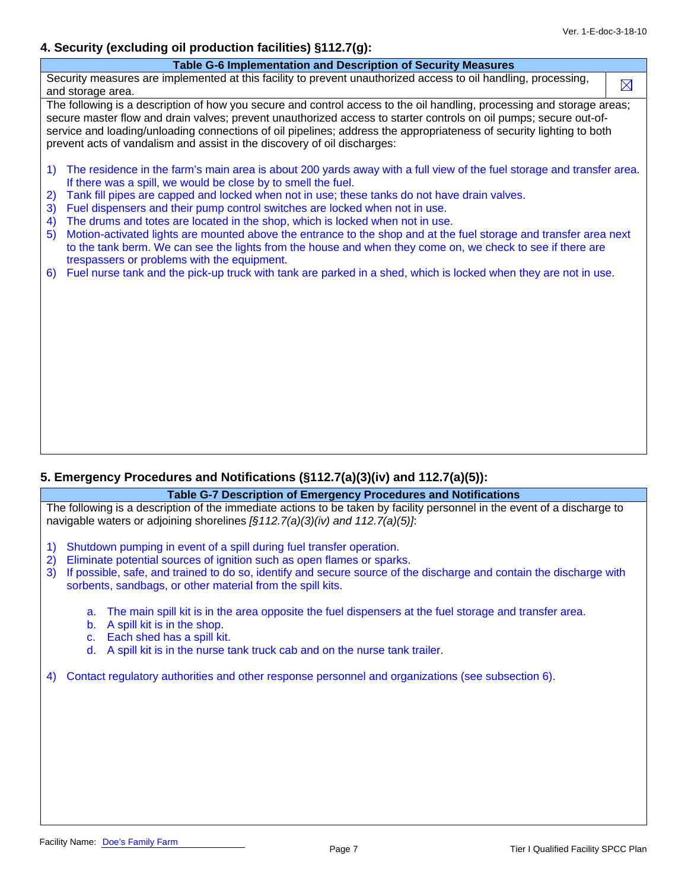### **4. Security (excluding oil production facilities) §112.7(g):**

| r. Occarity (cholading on production launtics) 3114.1(g).                                                                                                                                                                                                                                                                                                                                                                                       |             |
|-------------------------------------------------------------------------------------------------------------------------------------------------------------------------------------------------------------------------------------------------------------------------------------------------------------------------------------------------------------------------------------------------------------------------------------------------|-------------|
| Table G-6 Implementation and Description of Security Measures                                                                                                                                                                                                                                                                                                                                                                                   |             |
| Security measures are implemented at this facility to prevent unauthorized access to oil handling, processing,<br>and storage area.                                                                                                                                                                                                                                                                                                             | $\boxtimes$ |
| The following is a description of how you secure and control access to the oil handling, processing and storage areas;<br>secure master flow and drain valves; prevent unauthorized access to starter controls on oil pumps; secure out-of-<br>service and loading/unloading connections of oil pipelines; address the appropriateness of security lighting to both<br>prevent acts of vandalism and assist in the discovery of oil discharges: |             |
| The residence in the farm's main area is about 200 yards away with a full view of the fuel storage and transfer area.<br>1)<br>If there was a spill, we would be close by to smell the fuel.                                                                                                                                                                                                                                                    |             |
| Tank fill pipes are capped and locked when not in use; these tanks do not have drain valves.<br>2)<br>Fuel dispensers and their pump control switches are locked when not in use.<br>3)                                                                                                                                                                                                                                                         |             |
| The drums and totes are located in the shop, which is locked when not in use.<br>4)                                                                                                                                                                                                                                                                                                                                                             |             |
| Motion-activated lights are mounted above the entrance to the shop and at the fuel storage and transfer area next<br>5)<br>to the tank berm. We can see the lights from the house and when they come on, we check to see if there are<br>trespassers or problems with the equipment.                                                                                                                                                            |             |
| Fuel nurse tank and the pick-up truck with tank are parked in a shed, which is locked when they are not in use.<br>6)                                                                                                                                                                                                                                                                                                                           |             |
|                                                                                                                                                                                                                                                                                                                                                                                                                                                 |             |
|                                                                                                                                                                                                                                                                                                                                                                                                                                                 |             |
|                                                                                                                                                                                                                                                                                                                                                                                                                                                 |             |
|                                                                                                                                                                                                                                                                                                                                                                                                                                                 |             |
|                                                                                                                                                                                                                                                                                                                                                                                                                                                 |             |
|                                                                                                                                                                                                                                                                                                                                                                                                                                                 |             |
|                                                                                                                                                                                                                                                                                                                                                                                                                                                 |             |

### **5. Emergency Procedures and Notifications (§112.7(a)(3)(iv) and 112.7(a)(5)):**

#### **Table G-7 Description of Emergency Procedures and Notifications**

The following is a description of the immediate actions to be taken by facility personnel in the event of a discharge to navigable waters or adjoining shorelines *[§112.7(a)(3)(iv) and 112.7(a)(5)]*:

- 1) Shutdown pumping in event of a spill during fuel transfer operation.
- 2) Eliminate potential sources of ignition such as open flames or sparks.
- 3) If possible, safe, and trained to do so, identify and secure source of the discharge and contain the discharge with sorbents, sandbags, or other material from the spill kits.
	- a. The main spill kit is in the area opposite the fuel dispensers at the fuel storage and transfer area.
	- b. A spill kit is in the shop.
	- c. Each shed has a spill kit.
	- d. A spill kit is in the nurse tank truck cab and on the nurse tank trailer.

4) Contact regulatory authorities and other response personnel and organizations (see subsection 6).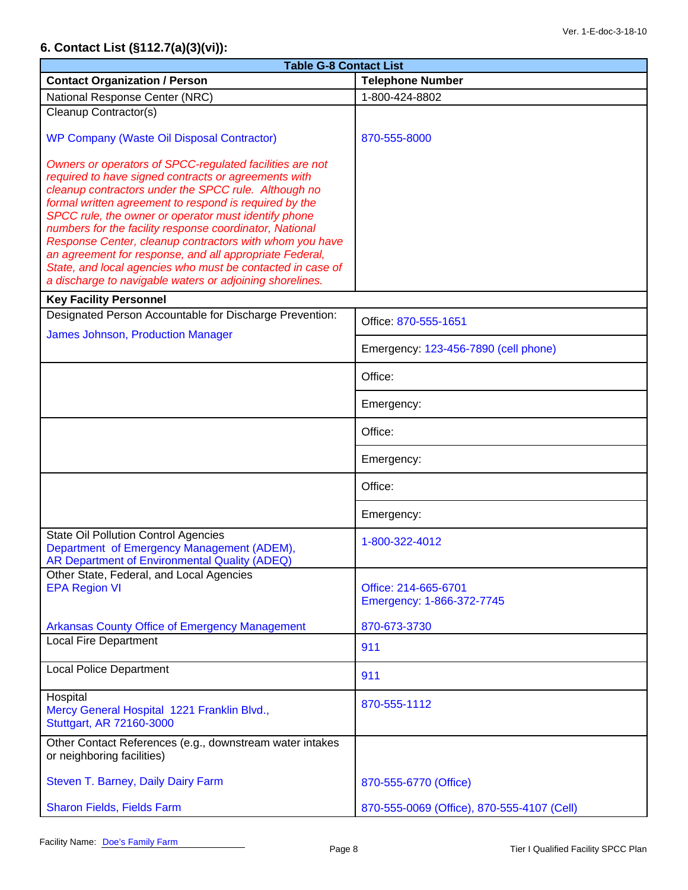# **6. Contact List (§112.7(a)(3)(vi)):**

| <b>Table G-8 Contact List</b>                                                                                                                                                                                                                                                                                                                                                                                                                                                                                                                                                                         |                                                   |  |  |  |
|-------------------------------------------------------------------------------------------------------------------------------------------------------------------------------------------------------------------------------------------------------------------------------------------------------------------------------------------------------------------------------------------------------------------------------------------------------------------------------------------------------------------------------------------------------------------------------------------------------|---------------------------------------------------|--|--|--|
| <b>Contact Organization / Person</b>                                                                                                                                                                                                                                                                                                                                                                                                                                                                                                                                                                  | <b>Telephone Number</b>                           |  |  |  |
| National Response Center (NRC)                                                                                                                                                                                                                                                                                                                                                                                                                                                                                                                                                                        | 1-800-424-8802                                    |  |  |  |
| Cleanup Contractor(s)                                                                                                                                                                                                                                                                                                                                                                                                                                                                                                                                                                                 |                                                   |  |  |  |
| WP Company (Waste Oil Disposal Contractor)                                                                                                                                                                                                                                                                                                                                                                                                                                                                                                                                                            | 870-555-8000                                      |  |  |  |
| Owners or operators of SPCC-regulated facilities are not<br>required to have signed contracts or agreements with<br>cleanup contractors under the SPCC rule. Although no<br>formal written agreement to respond is required by the<br>SPCC rule, the owner or operator must identify phone<br>numbers for the facility response coordinator, National<br>Response Center, cleanup contractors with whom you have<br>an agreement for response, and all appropriate Federal,<br>State, and local agencies who must be contacted in case of<br>a discharge to navigable waters or adjoining shorelines. |                                                   |  |  |  |
| <b>Key Facility Personnel</b><br>Designated Person Accountable for Discharge Prevention:                                                                                                                                                                                                                                                                                                                                                                                                                                                                                                              |                                                   |  |  |  |
| <b>James Johnson, Production Manager</b>                                                                                                                                                                                                                                                                                                                                                                                                                                                                                                                                                              | Office: 870-555-1651                              |  |  |  |
|                                                                                                                                                                                                                                                                                                                                                                                                                                                                                                                                                                                                       | Emergency: 123-456-7890 (cell phone)              |  |  |  |
|                                                                                                                                                                                                                                                                                                                                                                                                                                                                                                                                                                                                       | Office:                                           |  |  |  |
|                                                                                                                                                                                                                                                                                                                                                                                                                                                                                                                                                                                                       | Emergency:                                        |  |  |  |
|                                                                                                                                                                                                                                                                                                                                                                                                                                                                                                                                                                                                       | Office:                                           |  |  |  |
|                                                                                                                                                                                                                                                                                                                                                                                                                                                                                                                                                                                                       | Emergency:                                        |  |  |  |
|                                                                                                                                                                                                                                                                                                                                                                                                                                                                                                                                                                                                       | Office:                                           |  |  |  |
|                                                                                                                                                                                                                                                                                                                                                                                                                                                                                                                                                                                                       | Emergency:                                        |  |  |  |
| <b>State Oil Pollution Control Agencies</b><br>Department of Emergency Management (ADEM),<br>AR Department of Environmental Quality (ADEQ)                                                                                                                                                                                                                                                                                                                                                                                                                                                            | 1-800-322-4012                                    |  |  |  |
| Other State, Federal, and Local Agencies<br><b>EPA Region VI</b>                                                                                                                                                                                                                                                                                                                                                                                                                                                                                                                                      | Office: 214-665-6701<br>Emergency: 1-866-372-7745 |  |  |  |
| <b>Arkansas County Office of Emergency Management</b>                                                                                                                                                                                                                                                                                                                                                                                                                                                                                                                                                 | 870-673-3730                                      |  |  |  |
| <b>Local Fire Department</b>                                                                                                                                                                                                                                                                                                                                                                                                                                                                                                                                                                          | 911                                               |  |  |  |
| <b>Local Police Department</b>                                                                                                                                                                                                                                                                                                                                                                                                                                                                                                                                                                        | 911                                               |  |  |  |
| Hospital<br>Mercy General Hospital 1221 Franklin Blvd.,<br>Stuttgart, AR 72160-3000                                                                                                                                                                                                                                                                                                                                                                                                                                                                                                                   | 870-555-1112                                      |  |  |  |
| Other Contact References (e.g., downstream water intakes<br>or neighboring facilities)                                                                                                                                                                                                                                                                                                                                                                                                                                                                                                                |                                                   |  |  |  |
| Steven T. Barney, Daily Dairy Farm                                                                                                                                                                                                                                                                                                                                                                                                                                                                                                                                                                    | 870-555-6770 (Office)                             |  |  |  |
| Sharon Fields, Fields Farm                                                                                                                                                                                                                                                                                                                                                                                                                                                                                                                                                                            | 870-555-0069 (Office), 870-555-4107 (Cell)        |  |  |  |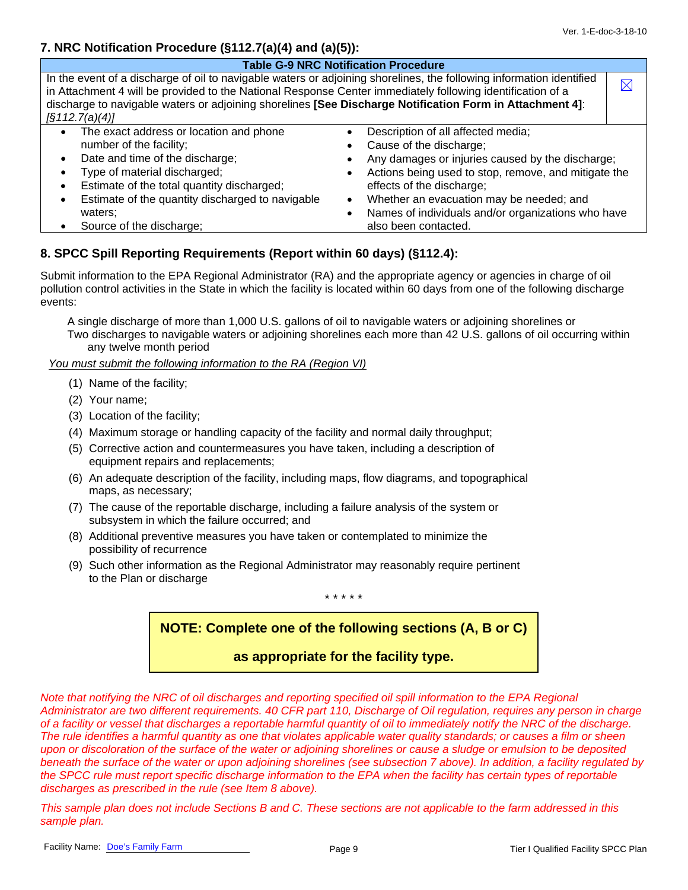### **7. NRC Notification Procedure (§112.7(a)(4) and (a)(5)):**

| <b>Table G-9 NRC Notification Procedure</b>                                                                                                                                                                                                                                                                                                                             |                                                                                                                                                                                                                                                                                                                                               |             |  |
|-------------------------------------------------------------------------------------------------------------------------------------------------------------------------------------------------------------------------------------------------------------------------------------------------------------------------------------------------------------------------|-----------------------------------------------------------------------------------------------------------------------------------------------------------------------------------------------------------------------------------------------------------------------------------------------------------------------------------------------|-------------|--|
| In the event of a discharge of oil to navigable waters or adjoining shorelines, the following information identified<br>in Attachment 4 will be provided to the National Response Center immediately following identification of a<br>discharge to navigable waters or adjoining shorelines [See Discharge Notification Form in Attachment 4]:<br>$\sqrt{3112.7(a)(4)}$ |                                                                                                                                                                                                                                                                                                                                               | $\boxtimes$ |  |
| The exact address or location and phone<br>$\bullet$<br>number of the facility;<br>Date and time of the discharge;<br>$\bullet$<br>Type of material discharged;<br>Estimate of the total quantity discharged;<br>Estimate of the quantity discharged to navigable<br>waters:<br>Source of the discharge;                                                                | Description of all affected media;<br>Cause of the discharge;<br>Any damages or injuries caused by the discharge;<br>Actions being used to stop, remove, and mitigate the<br>effects of the discharge;<br>Whether an evacuation may be needed; and<br>$\bullet$<br>Names of individuals and/or organizations who have<br>also been contacted. |             |  |

### **8. SPCC Spill Reporting Requirements (Report within 60 days) (§112.4):**

Submit information to the EPA Regional Administrator (RA) and the appropriate agency or agencies in charge of oil pollution control activities in the State in which the facility is located within 60 days from one of the following discharge events:

A single discharge of more than 1,000 U.S. gallons of oil to navigable waters or adjoining shorelines or Two discharges to navigable waters or adjoining shorelines each more than 42 U.S. gallons of oil occurring within any twelve month period

*You must submit the following information to the RA (Region VI)*

- (1) Name of the facility;
- (2) Your name;
- (3) Location of the facility;
- (4) Maximum storage or handling capacity of the facility and normal daily throughput;
- (5) Corrective action and countermeasures you have taken, including a description of equipment repairs and replacements;
- (6) An adequate description of the facility, including maps, flow diagrams, and topographical maps, as necessary;
- (7) The cause of the reportable discharge, including a failure analysis of the system or subsystem in which the failure occurred; and
- (8) Additional preventive measures you have taken or contemplated to minimize the possibility of recurrence
- (9) Such other information as the Regional Administrator may reasonably require pertinent to the Plan or discharge

#### \* \* \* \* \*

# **NOTE: Complete one of the following sections (A, B or C)**

# **as appropriate for the facility type.**

*Note that notifying the NRC of oil discharges and reporting specified oil spill information to the EPA Regional Administrator are two different requirements. 40 CFR part 110, Discharge of Oil regulation, requires any person in charge of a facility or vessel that discharges a reportable harmful quantity of oil to immediately notify the NRC of the discharge. The rule identifies a harmful quantity as one that violates applicable water quality standards; or causes a film or sheen upon or discoloration of the surface of the water or adjoining shorelines or cause a sludge or emulsion to be deposited beneath the surface of the water or upon adjoining shorelines (see subsection 7 above). In addition, a facility regulated by the SPCC rule must report specific discharge information to the EPA when the facility has certain types of reportable discharges as prescribed in the rule (see Item 8 above).* 

*This sample plan does not include Sections B and C. These sections are not applicable to the farm addressed in this sample plan.*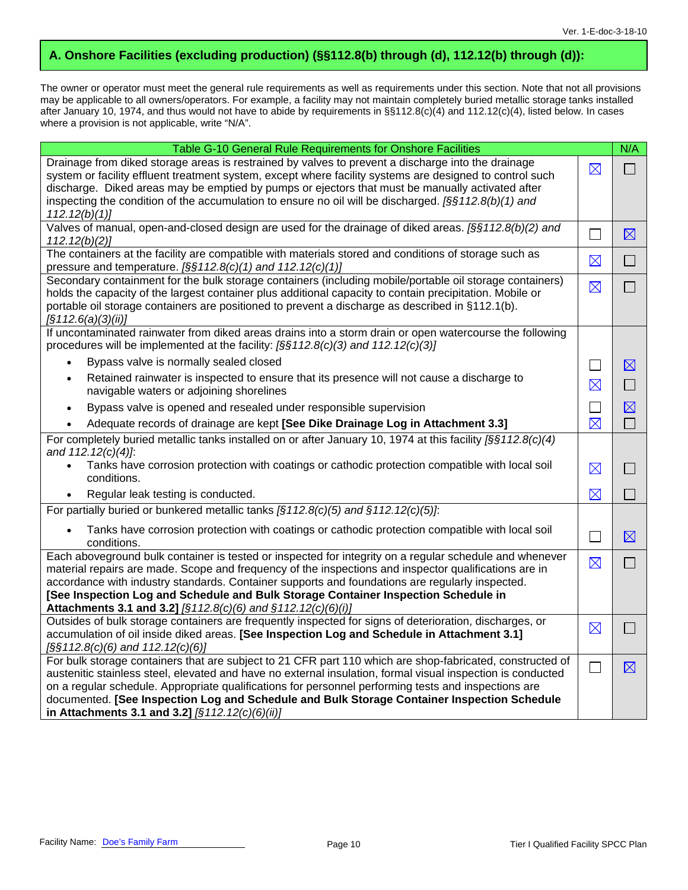# **A. Onshore Facilities (excluding production) (§§112.8(b) through (d), 112.12(b) through (d)):**

The owner or operator must meet the general rule requirements as well as requirements under this section. Note that not all provisions may be applicable to all owners/operators. For example, a facility may not maintain completely buried metallic storage tanks installed after January 10, 1974, and thus would not have to abide by requirements in §§112.8(c)(4) and 112.12(c)(4), listed below. In cases where a provision is not applicable, write "N/A".

| Table G-10 General Rule Requirements for Onshore Facilities                                                                                                                                                                                                                                                                                                                                                                                                                          |             | N/A            |
|--------------------------------------------------------------------------------------------------------------------------------------------------------------------------------------------------------------------------------------------------------------------------------------------------------------------------------------------------------------------------------------------------------------------------------------------------------------------------------------|-------------|----------------|
| Drainage from diked storage areas is restrained by valves to prevent a discharge into the drainage<br>system or facility effluent treatment system, except where facility systems are designed to control such<br>discharge. Diked areas may be emptied by pumps or ejectors that must be manually activated after<br>inspecting the condition of the accumulation to ensure no oil will be discharged. $\frac{56112.8(b)}{1}$ and                                                   | $\boxtimes$ | $\Box$         |
| 112.12(b)(1)<br>Valves of manual, open-and-closed design are used for the drainage of diked areas. [§§112.8(b)(2) and                                                                                                                                                                                                                                                                                                                                                                |             |                |
| 112.12(b)(2)                                                                                                                                                                                                                                                                                                                                                                                                                                                                         | П           | $\boxtimes$    |
| The containers at the facility are compatible with materials stored and conditions of storage such as<br>pressure and temperature. [§§112.8(c)(1) and 112.12(c)(1)]                                                                                                                                                                                                                                                                                                                  | $\boxtimes$ | $\Box$         |
| Secondary containment for the bulk storage containers (including mobile/portable oil storage containers)<br>holds the capacity of the largest container plus additional capacity to contain precipitation. Mobile or<br>portable oil storage containers are positioned to prevent a discharge as described in §112.1(b).<br>$\left[\S 1 12.6(a)(3)(ii)\right]$                                                                                                                       | $\boxtimes$ | $\Box$         |
| If uncontaminated rainwater from diked areas drains into a storm drain or open watercourse the following<br>procedures will be implemented at the facility: [§§112.8(c)(3) and 112.12(c)(3)]                                                                                                                                                                                                                                                                                         |             |                |
| Bypass valve is normally sealed closed<br>$\bullet$                                                                                                                                                                                                                                                                                                                                                                                                                                  | $\Box$      | $\boxtimes$    |
| Retained rainwater is inspected to ensure that its presence will not cause a discharge to<br>$\bullet$<br>navigable waters or adjoining shorelines                                                                                                                                                                                                                                                                                                                                   | $\boxtimes$ | $\Box$         |
| Bypass valve is opened and resealed under responsible supervision<br>$\bullet$                                                                                                                                                                                                                                                                                                                                                                                                       | $\Box$      | $\boxtimes$    |
| Adequate records of drainage are kept [See Dike Drainage Log in Attachment 3.3]<br>$\bullet$                                                                                                                                                                                                                                                                                                                                                                                         | $\boxtimes$ | $\Box$         |
| For completely buried metallic tanks installed on or after January 10, 1974 at this facility $\frac{1}{2}\frac{1}{2}\frac{3}{2}\frac{2}{6}$<br>and 112.12(c)(4)]:<br>Tanks have corrosion protection with coatings or cathodic protection compatible with local soil                                                                                                                                                                                                                 | $\boxtimes$ | $\mathbb{R}^n$ |
| conditions.                                                                                                                                                                                                                                                                                                                                                                                                                                                                          |             |                |
| Regular leak testing is conducted.                                                                                                                                                                                                                                                                                                                                                                                                                                                   | $\boxtimes$ | $\Box$         |
| For partially buried or bunkered metallic tanks $[§112.8(c)(5)$ and $§112.12(c)(5)$ .                                                                                                                                                                                                                                                                                                                                                                                                |             |                |
| Tanks have corrosion protection with coatings or cathodic protection compatible with local soil<br>$\bullet$<br>conditions.                                                                                                                                                                                                                                                                                                                                                          | П           | $\boxtimes$    |
| Each aboveground bulk container is tested or inspected for integrity on a regular schedule and whenever<br>material repairs are made. Scope and frequency of the inspections and inspector qualifications are in<br>accordance with industry standards. Container supports and foundations are regularly inspected.<br>[See Inspection Log and Schedule and Bulk Storage Container Inspection Schedule in                                                                            | $\boxtimes$ | $\Box$         |
| Attachments 3.1 and 3.2] [§112.8(c)(6) and §112.12(c)(6)(i)]<br>Outsides of bulk storage containers are frequently inspected for signs of deterioration, discharges, or                                                                                                                                                                                                                                                                                                              |             |                |
| accumulation of oil inside diked areas. [See Inspection Log and Schedule in Attachment 3.1]<br>$\sqrt{S}\$ 112.8(c)(6) and 112.12(c)(6)]                                                                                                                                                                                                                                                                                                                                             | $\boxtimes$ | $\Box$         |
| For bulk storage containers that are subject to 21 CFR part 110 which are shop-fabricated, constructed of<br>austenitic stainless steel, elevated and have no external insulation, formal visual inspection is conducted<br>on a regular schedule. Appropriate qualifications for personnel performing tests and inspections are<br>documented. [See Inspection Log and Schedule and Bulk Storage Container Inspection Schedule<br>in Attachments 3.1 and 3.2] $[§112.12(c)(6)(ii)]$ | $\Box$      | $\boxtimes$    |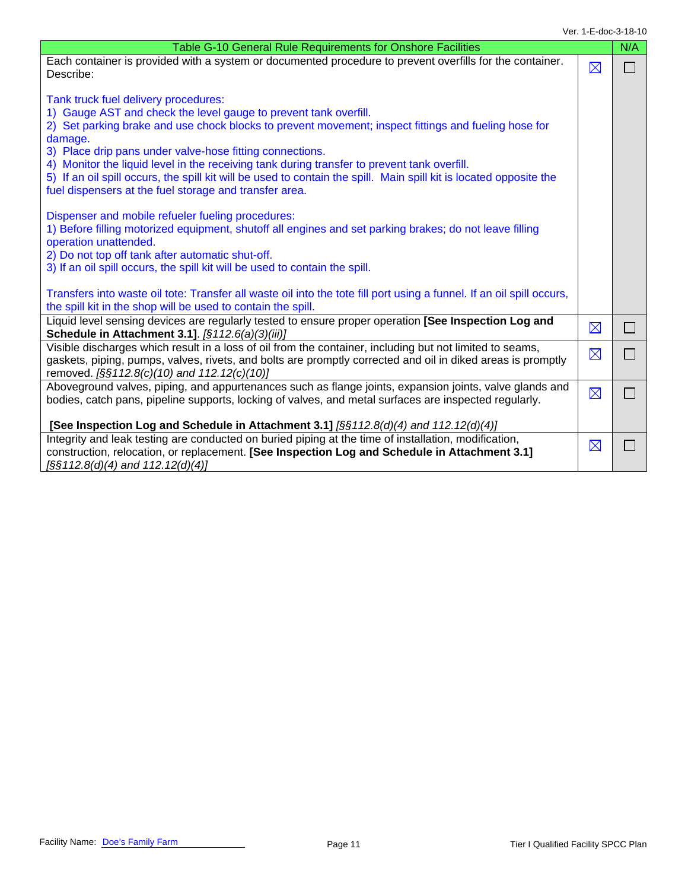| Table G-10 General Rule Requirements for Onshore Facilities                                                                                                                                                                                                                                                                                                                                                                                                                                                                                                            |             | N/A    |
|------------------------------------------------------------------------------------------------------------------------------------------------------------------------------------------------------------------------------------------------------------------------------------------------------------------------------------------------------------------------------------------------------------------------------------------------------------------------------------------------------------------------------------------------------------------------|-------------|--------|
| Each container is provided with a system or documented procedure to prevent overfills for the container.<br>Describe:                                                                                                                                                                                                                                                                                                                                                                                                                                                  | $\boxtimes$ | $\Box$ |
| Tank truck fuel delivery procedures:<br>1) Gauge AST and check the level gauge to prevent tank overfill.<br>2) Set parking brake and use chock blocks to prevent movement; inspect fittings and fueling hose for<br>damage.<br>3) Place drip pans under valve-hose fitting connections.<br>4) Monitor the liquid level in the receiving tank during transfer to prevent tank overfill.<br>5) If an oil spill occurs, the spill kit will be used to contain the spill. Main spill kit is located opposite the<br>fuel dispensers at the fuel storage and transfer area. |             |        |
| Dispenser and mobile refueler fueling procedures:<br>1) Before filling motorized equipment, shutoff all engines and set parking brakes; do not leave filling<br>operation unattended.<br>2) Do not top off tank after automatic shut-off.<br>3) If an oil spill occurs, the spill kit will be used to contain the spill.                                                                                                                                                                                                                                               |             |        |
| Transfers into waste oil tote: Transfer all waste oil into the tote fill port using a funnel. If an oil spill occurs,<br>the spill kit in the shop will be used to contain the spill.                                                                                                                                                                                                                                                                                                                                                                                  |             |        |
| Liquid level sensing devices are regularly tested to ensure proper operation [See Inspection Log and<br>Schedule in Attachment 3.1]. [§112.6(a)(3)(iii)]                                                                                                                                                                                                                                                                                                                                                                                                               | $\boxtimes$ |        |
| Visible discharges which result in a loss of oil from the container, including but not limited to seams,<br>gaskets, piping, pumps, valves, rivets, and bolts are promptly corrected and oil in diked areas is promptly<br>removed. [§§112.8(c)(10) and 112.12(c)(10)]                                                                                                                                                                                                                                                                                                 | $\boxtimes$ |        |
| Aboveground valves, piping, and appurtenances such as flange joints, expansion joints, valve glands and<br>bodies, catch pans, pipeline supports, locking of valves, and metal surfaces are inspected regularly.<br>[See Inspection Log and Schedule in Attachment 3.1] [§§112.8(d)(4) and 112.12(d)(4)]                                                                                                                                                                                                                                                               | $\boxtimes$ |        |
| Integrity and leak testing are conducted on buried piping at the time of installation, modification,<br>construction, relocation, or replacement. [See Inspection Log and Schedule in Attachment 3.1]<br>$\sqrt{2\Im(112.8)}$ (d)(4) and 112.12(d)(4)                                                                                                                                                                                                                                                                                                                  | $\boxtimes$ |        |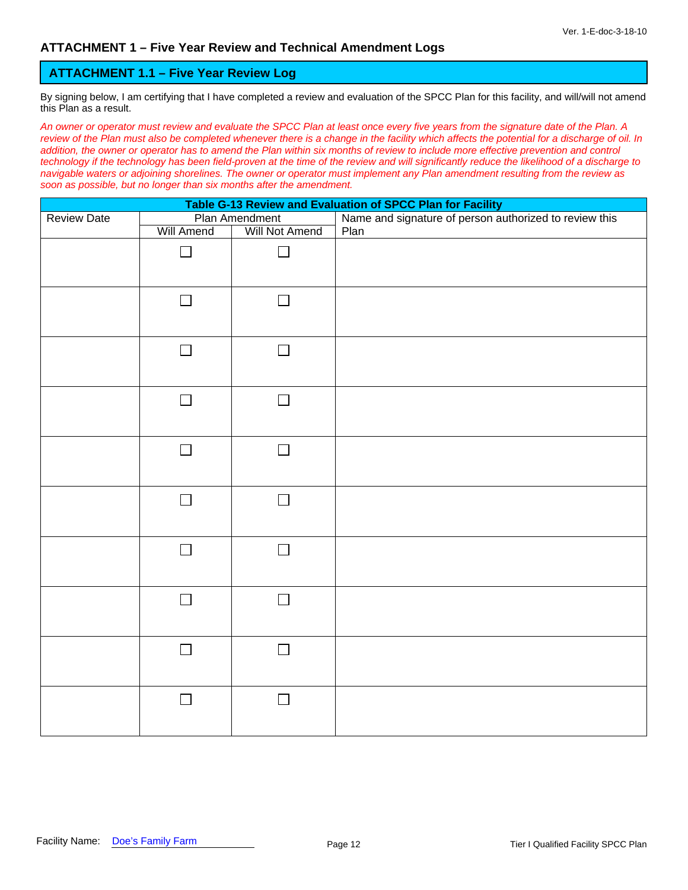#### **ATTACHMENT 1.1 – Five Year Review Log**

By signing below, I am certifying that I have completed a review and evaluation of the SPCC Plan for this facility, and will/will not amend this Plan as a result.

*An owner or operator must review and evaluate the SPCC Plan at least once every five years from the signature date of the Plan. A review of the Plan must also be completed whenever there is a change in the facility which affects the potential for a discharge of oil. In*  addition, the owner or operator has to amend the Plan within six months of review to include more effective prevention and control *technology if the technology has been field-proven at the time of the review and will significantly reduce the likelihood of a discharge to navigable waters or adjoining shorelines. The owner or operator must implement any Plan amendment resulting from the review as soon as possible, but no longer than six months after the amendment.* 

| Table G-13 Review and Evaluation of SPCC Plan for Facility<br>Plan Amendment Name and signature of person authorized to review this |                          |                          |      |  |  |  |
|-------------------------------------------------------------------------------------------------------------------------------------|--------------------------|--------------------------|------|--|--|--|
| <b>Review Date</b>                                                                                                                  |                          |                          |      |  |  |  |
|                                                                                                                                     | <b>Will Amend</b>        | <b>Will Not Amend</b>    | Plan |  |  |  |
|                                                                                                                                     | $\Box$                   | $\mathbf{I}$             |      |  |  |  |
|                                                                                                                                     | $\Box$                   | $\Box$                   |      |  |  |  |
|                                                                                                                                     | $\Box$                   | $\overline{\phantom{0}}$ |      |  |  |  |
|                                                                                                                                     | $\Box$                   | $\Box$                   |      |  |  |  |
|                                                                                                                                     | $\Box$                   | $\Box$                   |      |  |  |  |
|                                                                                                                                     | $\Box$                   | $\Box$                   |      |  |  |  |
|                                                                                                                                     | $\overline{\phantom{0}}$ | $\mathcal{L}$            |      |  |  |  |
|                                                                                                                                     | $\Box$                   | $\Box$                   |      |  |  |  |
|                                                                                                                                     | $\Box$                   | $\mathsf{L}$             |      |  |  |  |
|                                                                                                                                     | $\Box$                   | $\Box$                   |      |  |  |  |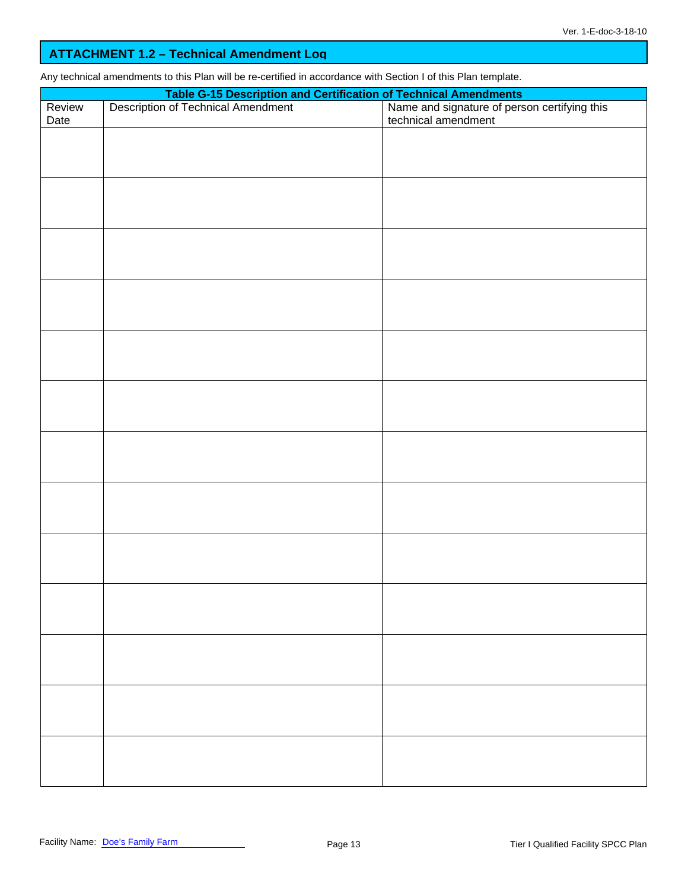### **ATTACHMENT 1.2 – Technical Amendment Log**

Any technical amendments to this Plan will be re-certified in accordance with Section I of this Plan template.

|                | Table G-15 Description and Certification of Technical Amendments<br>Description of Technical Amendment Name and signature of pers |                                                                     |  |  |  |  |  |  |
|----------------|-----------------------------------------------------------------------------------------------------------------------------------|---------------------------------------------------------------------|--|--|--|--|--|--|
| Review<br>Date |                                                                                                                                   | Name and signature of person certifying this<br>technical amendment |  |  |  |  |  |  |
|                |                                                                                                                                   |                                                                     |  |  |  |  |  |  |
|                |                                                                                                                                   |                                                                     |  |  |  |  |  |  |
|                |                                                                                                                                   |                                                                     |  |  |  |  |  |  |
|                |                                                                                                                                   |                                                                     |  |  |  |  |  |  |
|                |                                                                                                                                   |                                                                     |  |  |  |  |  |  |
|                |                                                                                                                                   |                                                                     |  |  |  |  |  |  |
|                |                                                                                                                                   |                                                                     |  |  |  |  |  |  |
|                |                                                                                                                                   |                                                                     |  |  |  |  |  |  |
|                |                                                                                                                                   |                                                                     |  |  |  |  |  |  |
|                |                                                                                                                                   |                                                                     |  |  |  |  |  |  |
|                |                                                                                                                                   |                                                                     |  |  |  |  |  |  |
|                |                                                                                                                                   |                                                                     |  |  |  |  |  |  |
|                |                                                                                                                                   |                                                                     |  |  |  |  |  |  |
|                |                                                                                                                                   |                                                                     |  |  |  |  |  |  |
|                |                                                                                                                                   |                                                                     |  |  |  |  |  |  |
|                |                                                                                                                                   |                                                                     |  |  |  |  |  |  |
|                |                                                                                                                                   |                                                                     |  |  |  |  |  |  |
|                |                                                                                                                                   |                                                                     |  |  |  |  |  |  |
|                |                                                                                                                                   |                                                                     |  |  |  |  |  |  |
|                |                                                                                                                                   |                                                                     |  |  |  |  |  |  |
|                |                                                                                                                                   |                                                                     |  |  |  |  |  |  |
|                |                                                                                                                                   |                                                                     |  |  |  |  |  |  |
|                |                                                                                                                                   |                                                                     |  |  |  |  |  |  |
|                |                                                                                                                                   |                                                                     |  |  |  |  |  |  |
|                |                                                                                                                                   |                                                                     |  |  |  |  |  |  |
|                |                                                                                                                                   |                                                                     |  |  |  |  |  |  |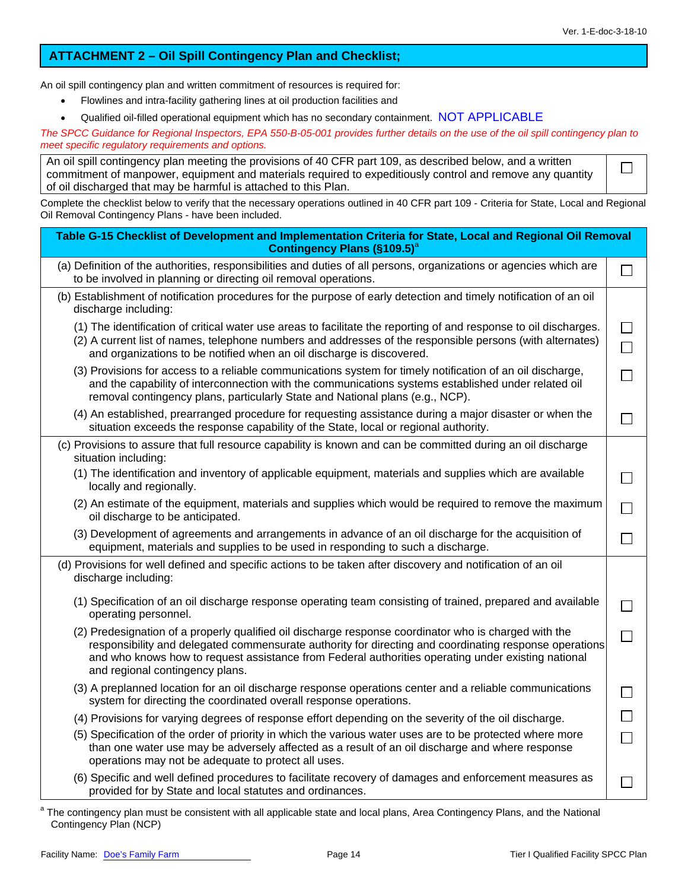$\Box$ 

### **ATTACHMENT 2 – Oil Spill Contingency Plan and Checklist;**

An oil spill contingency plan and written commitment of resources is required for:

- Flowlines and intra-facility gathering lines at oil production facilities and
- Qualified oil-filled operational equipment which has no secondary containment. NOT APPLICABLE

*The SPCC Guidance for Regional Inspectors, EPA 550-B-05-001 provides further details on the use of the oil spill contingency plan to meet specific regulatory requirements and options.*

| An oil spill contingency plan meeting the provisions of 40 CFR part 109, as described below, and a written |
|------------------------------------------------------------------------------------------------------------|
| commitment of manpower, equipment and materials required to expeditiously control and remove any quantity  |
| of oil discharged that may be harmful is attached to this Plan.                                            |

Complete the checklist below to verify that the necessary operations outlined in 40 CFR part 109 - Criteria for State, Local and Regional Oil Removal Contingency Plans - have been included.

| Table G-15 Checklist of Development and Implementation Criteria for State, Local and Regional Oil Removal<br><b>Contingency Plans (§109.5)</b> <sup>a</sup>                                                                                                                                                                                              |  |
|----------------------------------------------------------------------------------------------------------------------------------------------------------------------------------------------------------------------------------------------------------------------------------------------------------------------------------------------------------|--|
| (a) Definition of the authorities, responsibilities and duties of all persons, organizations or agencies which are<br>to be involved in planning or directing oil removal operations.                                                                                                                                                                    |  |
| (b) Establishment of notification procedures for the purpose of early detection and timely notification of an oil<br>discharge including:                                                                                                                                                                                                                |  |
| (1) The identification of critical water use areas to facilitate the reporting of and response to oil discharges.<br>(2) A current list of names, telephone numbers and addresses of the responsible persons (with alternates)<br>and organizations to be notified when an oil discharge is discovered.                                                  |  |
| (3) Provisions for access to a reliable communications system for timely notification of an oil discharge,<br>and the capability of interconnection with the communications systems established under related oil<br>removal contingency plans, particularly State and National plans (e.g., NCP).                                                       |  |
| (4) An established, prearranged procedure for requesting assistance during a major disaster or when the<br>situation exceeds the response capability of the State, local or regional authority.                                                                                                                                                          |  |
| (c) Provisions to assure that full resource capability is known and can be committed during an oil discharge<br>situation including:                                                                                                                                                                                                                     |  |
| (1) The identification and inventory of applicable equipment, materials and supplies which are available<br>locally and regionally.                                                                                                                                                                                                                      |  |
| (2) An estimate of the equipment, materials and supplies which would be required to remove the maximum<br>oil discharge to be anticipated.                                                                                                                                                                                                               |  |
| (3) Development of agreements and arrangements in advance of an oil discharge for the acquisition of<br>equipment, materials and supplies to be used in responding to such a discharge.                                                                                                                                                                  |  |
| (d) Provisions for well defined and specific actions to be taken after discovery and notification of an oil<br>discharge including:                                                                                                                                                                                                                      |  |
| (1) Specification of an oil discharge response operating team consisting of trained, prepared and available<br>operating personnel.                                                                                                                                                                                                                      |  |
| (2) Predesignation of a properly qualified oil discharge response coordinator who is charged with the<br>responsibility and delegated commensurate authority for directing and coordinating response operations<br>and who knows how to request assistance from Federal authorities operating under existing national<br>and regional contingency plans. |  |
| (3) A preplanned location for an oil discharge response operations center and a reliable communications<br>system for directing the coordinated overall response operations.                                                                                                                                                                             |  |
| (4) Provisions for varying degrees of response effort depending on the severity of the oil discharge.                                                                                                                                                                                                                                                    |  |
| (5) Specification of the order of priority in which the various water uses are to be protected where more<br>than one water use may be adversely affected as a result of an oil discharge and where response<br>operations may not be adequate to protect all uses.                                                                                      |  |
| (6) Specific and well defined procedures to facilitate recovery of damages and enforcement measures as<br>provided for by State and local statutes and ordinances.                                                                                                                                                                                       |  |

| $^{\rm a}$ The contingency plan must be consistent with all applicable state and local plans, Area Contingency Plans, and the National |  |  |  |
|----------------------------------------------------------------------------------------------------------------------------------------|--|--|--|
| Contingency Plan (NCP)                                                                                                                 |  |  |  |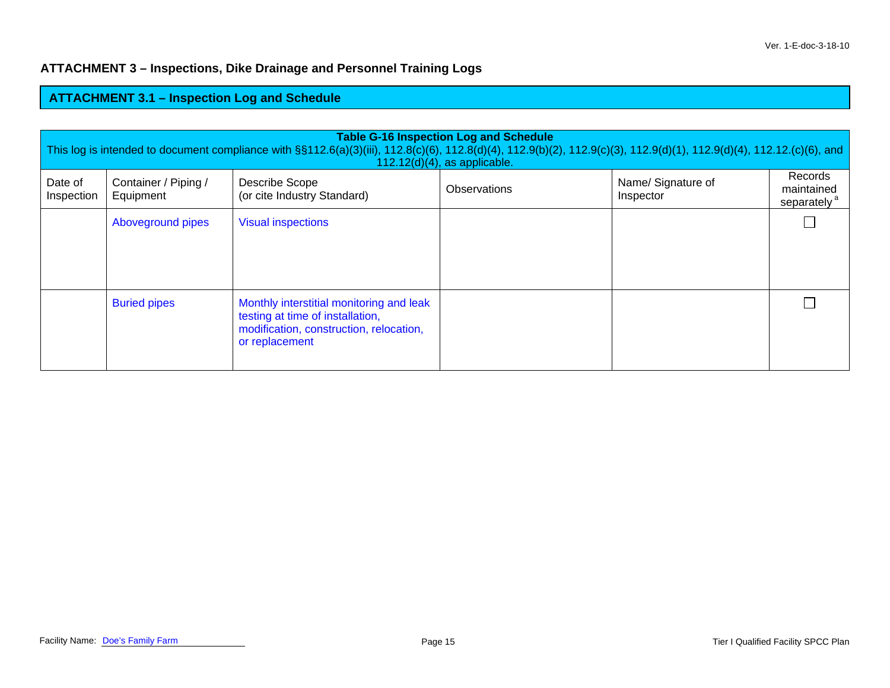### **ATTACHMENT 3 – Inspections, Dike Drainage and Personnel Training Logs**

# **ATTACHMENT 3.1 – Inspection Log and Schedule**

| <b>Table G-16 Inspection Log and Schedule</b><br>This log is intended to document compliance with §§112.6(a)(3)(iii), 112.8(c)(6), 112.8(d)(4), 112.9(b)(2), 112.9(c)(3), 112.9(d)(1), 112.9(d)(4), 112.12.(c)(6), and<br>$112.12(d)(4)$ , as applicable. |                                   |                                                                                                                                           |              |                                 |                                                  |  |
|-----------------------------------------------------------------------------------------------------------------------------------------------------------------------------------------------------------------------------------------------------------|-----------------------------------|-------------------------------------------------------------------------------------------------------------------------------------------|--------------|---------------------------------|--------------------------------------------------|--|
| Date of<br>Inspection                                                                                                                                                                                                                                     | Container / Piping /<br>Equipment | Describe Scope<br>(or cite Industry Standard)                                                                                             | Observations | Name/ Signature of<br>Inspector | Records<br>maintained<br>separately <sup>a</sup> |  |
|                                                                                                                                                                                                                                                           | Aboveground pipes                 | <b>Visual inspections</b>                                                                                                                 |              |                                 |                                                  |  |
|                                                                                                                                                                                                                                                           | <b>Buried pipes</b>               | Monthly interstitial monitoring and leak<br>testing at time of installation,<br>modification, construction, relocation,<br>or replacement |              |                                 |                                                  |  |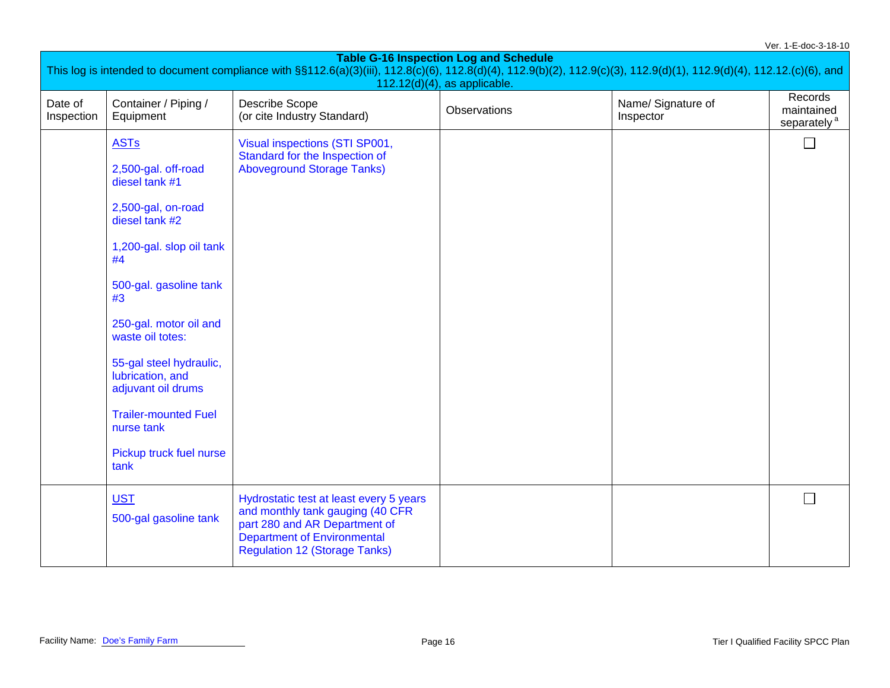| Ver. 1-E-doc-3-18-10                                                                                                                                                                                                   |                                                                   |                                                                                                                                                                                            |              |                                 |                                       |  |  |  |
|------------------------------------------------------------------------------------------------------------------------------------------------------------------------------------------------------------------------|-------------------------------------------------------------------|--------------------------------------------------------------------------------------------------------------------------------------------------------------------------------------------|--------------|---------------------------------|---------------------------------------|--|--|--|
| <b>Table G-16 Inspection Log and Schedule</b><br>This log is intended to document compliance with §§112.6(a)(3)(iii), 112.8(c)(6), 112.8(d)(4), 112.9(b)(2), 112.9(c)(3), 112.9(d)(1), 112.9(d)(4), 112.12.(c)(6), and |                                                                   |                                                                                                                                                                                            |              |                                 |                                       |  |  |  |
| $112.12(d)(4)$ , as applicable.<br>Records                                                                                                                                                                             |                                                                   |                                                                                                                                                                                            |              |                                 |                                       |  |  |  |
| Date of<br>Inspection                                                                                                                                                                                                  | Container / Piping /<br>Equipment                                 | <b>Describe Scope</b><br>(or cite Industry Standard)                                                                                                                                       | Observations | Name/ Signature of<br>Inspector | maintained<br>separately <sup>a</sup> |  |  |  |
|                                                                                                                                                                                                                        | <b>ASTs</b>                                                       | Visual inspections (STI SP001,<br>Standard for the Inspection of                                                                                                                           |              |                                 | $\Box$                                |  |  |  |
|                                                                                                                                                                                                                        | 2,500-gal. off-road<br>diesel tank #1                             | <b>Aboveground Storage Tanks)</b>                                                                                                                                                          |              |                                 |                                       |  |  |  |
|                                                                                                                                                                                                                        | 2,500-gal, on-road<br>diesel tank #2                              |                                                                                                                                                                                            |              |                                 |                                       |  |  |  |
|                                                                                                                                                                                                                        | 1,200-gal. slop oil tank<br>#4                                    |                                                                                                                                                                                            |              |                                 |                                       |  |  |  |
|                                                                                                                                                                                                                        | 500-gal. gasoline tank<br>#3                                      |                                                                                                                                                                                            |              |                                 |                                       |  |  |  |
|                                                                                                                                                                                                                        | 250-gal. motor oil and<br>waste oil totes:                        |                                                                                                                                                                                            |              |                                 |                                       |  |  |  |
|                                                                                                                                                                                                                        | 55-gal steel hydraulic,<br>lubrication, and<br>adjuvant oil drums |                                                                                                                                                                                            |              |                                 |                                       |  |  |  |
|                                                                                                                                                                                                                        | <b>Trailer-mounted Fuel</b><br>nurse tank                         |                                                                                                                                                                                            |              |                                 |                                       |  |  |  |
|                                                                                                                                                                                                                        | Pickup truck fuel nurse<br>tank                                   |                                                                                                                                                                                            |              |                                 |                                       |  |  |  |
|                                                                                                                                                                                                                        | <b>UST</b><br>500-gal gasoline tank                               | Hydrostatic test at least every 5 years<br>and monthly tank gauging (40 CFR<br>part 280 and AR Department of<br><b>Department of Environmental</b><br><b>Regulation 12 (Storage Tanks)</b> |              |                                 |                                       |  |  |  |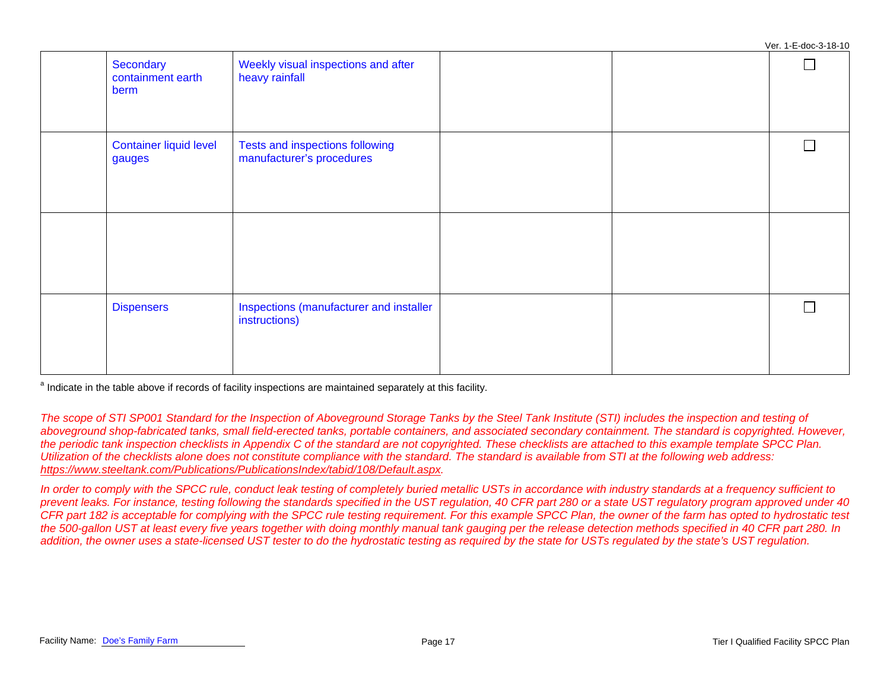Ver. 1-E-doc-3-18-10 **Secondary** Weekly visual inspections and after П containment earth heavy rainfall berm Container liquid level Tests and inspections following  $\Box$ manufacturer's procedures gauges Dispensers **Inspections (manufacturer and installer**  $\Box$ instructions)

<sup>a</sup> Indicate in the table above if records of facility inspections are maintained separately at this facility.

The scope of STI SP001 Standard for the Inspection of Aboveground Storage Tanks by the Steel Tank Institute (STI) includes the inspection and testing of *aboveground shop-fabricated tanks, small field-erected tanks, portable containers, and associated secondary containment. The standard is copyrighted. However, the periodic tank inspection checklists in Appendix C of the standard are not copyrighted. These checklists are attached to this example template SPCC Plan. Utilization of the checklists alone does not constitute compliance with the standard. The standard is available from STI at the following web address: [https://www.steeltank.com/Publications/PublicationsIndex/tabid/108/Default.aspx.](https://www.steeltank.com/Publications/PublicationsIndex/tabid/108/Default.aspx)* 

In order to comply with the SPCC rule, conduct leak testing of completely buried metallic USTs in accordance with industry standards at a frequency sufficient to *prevent leaks. For instance, testing following the standards specified in the UST regulation, 40 CFR part 280 or a state UST regulatory program approved under 40 CFR part 182 is acceptable for complying with the SPCC rule testing requirement. For this example SPCC Plan, the owner of the farm has opted to hydrostatic test the 500-gallon UST at least every five years together with doing monthly manual tank gauging per the release detection methods specified in 40 CFR part 280. In*  addition, the owner uses a state-licensed UST tester to do the hydrostatic testing as required by the state for USTs regulated by the state's UST regulation.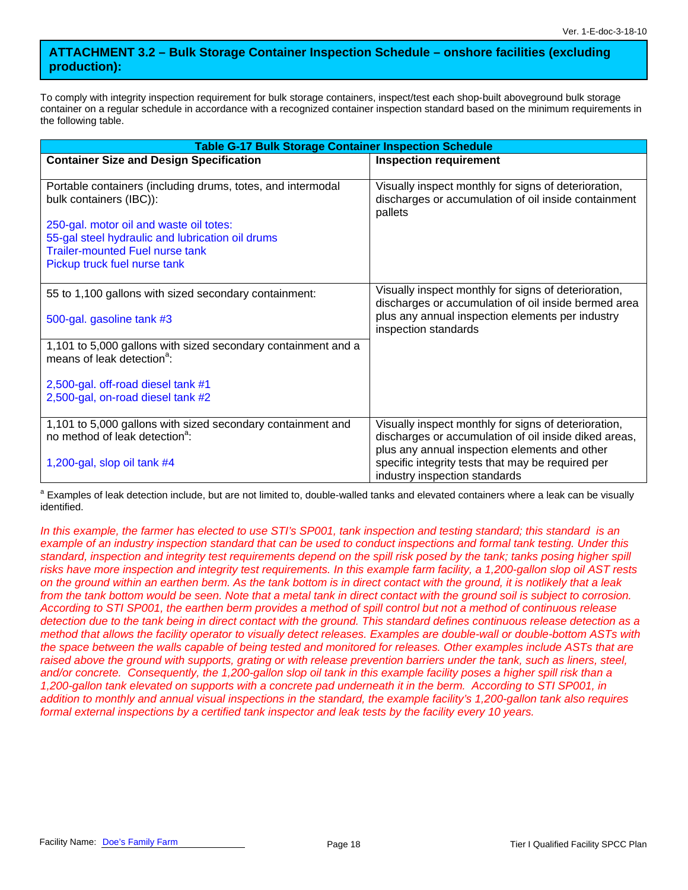### **ATTACHMENT 3.2 – Bulk Storage Container Inspection Schedule – onshore facilities (excluding production):**

To comply with integrity inspection requirement for bulk storage containers, inspect/test each shop-built aboveground bulk storage container on a regular schedule in accordance with a recognized container inspection standard based on the minimum requirements in the following table.

| <b>Table G-17 Bulk Storage Container Inspection Schedule</b>                                            |                                                                                                              |  |  |  |  |  |
|---------------------------------------------------------------------------------------------------------|--------------------------------------------------------------------------------------------------------------|--|--|--|--|--|
| <b>Container Size and Design Specification</b>                                                          | <b>Inspection requirement</b>                                                                                |  |  |  |  |  |
|                                                                                                         |                                                                                                              |  |  |  |  |  |
| Portable containers (including drums, totes, and intermodal                                             | Visually inspect monthly for signs of deterioration,                                                         |  |  |  |  |  |
| bulk containers (IBC)):                                                                                 | discharges or accumulation of oil inside containment<br>pallets                                              |  |  |  |  |  |
| 250-gal. motor oil and waste oil totes:                                                                 |                                                                                                              |  |  |  |  |  |
| 55-gal steel hydraulic and lubrication oil drums                                                        |                                                                                                              |  |  |  |  |  |
| <b>Trailer-mounted Fuel nurse tank</b>                                                                  |                                                                                                              |  |  |  |  |  |
| Pickup truck fuel nurse tank                                                                            |                                                                                                              |  |  |  |  |  |
|                                                                                                         |                                                                                                              |  |  |  |  |  |
| 55 to 1,100 gallons with sized secondary containment:                                                   | Visually inspect monthly for signs of deterioration,<br>discharges or accumulation of oil inside bermed area |  |  |  |  |  |
| 500-gal. gasoline tank #3                                                                               | plus any annual inspection elements per industry<br>inspection standards                                     |  |  |  |  |  |
| 1,101 to 5,000 gallons with sized secondary containment and a<br>means of leak detection <sup>a</sup> : |                                                                                                              |  |  |  |  |  |
|                                                                                                         |                                                                                                              |  |  |  |  |  |
| 2,500-gal. off-road diesel tank #1                                                                      |                                                                                                              |  |  |  |  |  |
| 2,500-gal, on-road diesel tank #2                                                                       |                                                                                                              |  |  |  |  |  |
| 1,101 to 5,000 gallons with sized secondary containment and                                             | Visually inspect monthly for signs of deterioration,                                                         |  |  |  |  |  |
| no method of leak detection <sup>a</sup> :                                                              | discharges or accumulation of oil inside diked areas,                                                        |  |  |  |  |  |
|                                                                                                         | plus any annual inspection elements and other                                                                |  |  |  |  |  |
| 1,200-gal, slop oil tank #4                                                                             | specific integrity tests that may be required per                                                            |  |  |  |  |  |
|                                                                                                         | industry inspection standards                                                                                |  |  |  |  |  |

<sup>a</sup> Examples of leak detection include, but are not limited to, double-walled tanks and elevated containers where a leak can be visually identified.

*In this example, the farmer has elected to use STI's SP001, tank inspection and testing standard; this standard is an example of an industry inspection standard that can be used to conduct inspections and formal tank testing. Under this standard, inspection and integrity test requirements depend on the spill risk posed by the tank; tanks posing higher spill risks have more inspection and integrity test requirements. In this example farm facility, a 1,200-gallon slop oil AST rests on the ground within an earthen berm. As the tank bottom is in direct contact with the ground, it is notlikely that a leak from the tank bottom would be seen. Note that a metal tank in direct contact with the ground soil is subject to corrosion. According to STI SP001, the earthen berm provides a method of spill control but not a method of continuous release detection due to the tank being in direct contact with the ground. This standard defines continuous release detection as a method that allows the facility operator to visually detect releases. Examples are double-wall or double-bottom ASTs with the space between the walls capable of being tested and monitored for releases. Other examples include ASTs that are*  raised above the ground with supports, grating or with release prevention barriers under the tank, such as liners, steel, *and/or concrete. Consequently, the 1,200-gallon slop oil tank in this example facility poses a higher spill risk than a 1,200-gallon tank elevated on supports with a concrete pad underneath it in the berm. According to STI SP001, in addition to monthly and annual visual inspections in the standard, the example facility's 1,200-gallon tank also requires formal external inspections by a certified tank inspector and leak tests by the facility every 10 years.*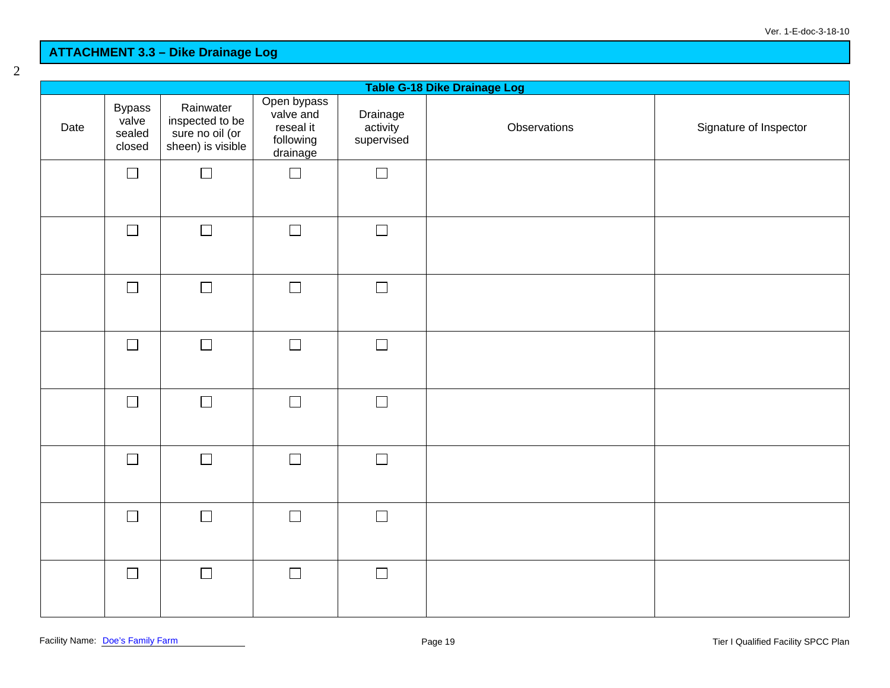# **ATTACHMENT 3.3 – Dike Drainage Log**

| Table G-18 Dike Drainage Log |                                            |                                                                      |                                                                |                                    |              |                        |  |
|------------------------------|--------------------------------------------|----------------------------------------------------------------------|----------------------------------------------------------------|------------------------------------|--------------|------------------------|--|
| Date                         | <b>Bypass</b><br>valve<br>sealed<br>closed | Rainwater<br>inspected to be<br>sure no oil (or<br>sheen) is visible | Open bypass<br>valve and<br>reseal it<br>following<br>drainage | Drainage<br>activity<br>supervised | Observations | Signature of Inspector |  |
|                              | $\Box$                                     | $\Box$                                                               | $\Box$                                                         | $\Box$                             |              |                        |  |
|                              | $\Box$                                     | $\Box$                                                               | $\Box$                                                         | $\Box$                             |              |                        |  |
|                              | $\Box$                                     | $\Box$                                                               | $\Box$                                                         | $\Box$                             |              |                        |  |
|                              | $\Box$                                     | $\Box$                                                               | $\Box$                                                         | $\Box$                             |              |                        |  |
|                              | $\hfill \square$                           | $\Box$                                                               | $\Box$                                                         | $\Box$                             |              |                        |  |
|                              | $\Box$                                     | $\Box$                                                               | $\Box$                                                         | $\Box$                             |              |                        |  |
|                              | $\Box$                                     | $\Box$                                                               | $\Box$                                                         | $\Box$                             |              |                        |  |
|                              | $\Box$                                     | $\Box$                                                               | $\Box$                                                         | $\Box$                             |              |                        |  |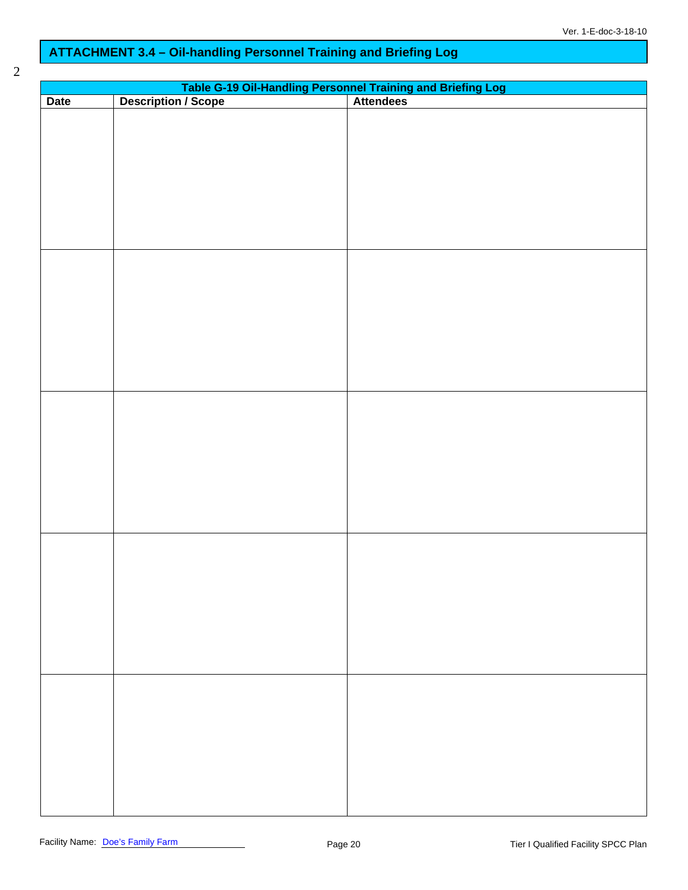# **ATTACHMENT 3.4 – Oil-handling Personnel Training and Briefing Log**

| ×<br>۰,<br>I<br>I |  |
|-------------------|--|
| i<br>I<br>I       |  |
|                   |  |

| Table G-19 Oil-Handling Personnel Training and Briefing Log<br>Description / Scope   Attendees |  |  |  |  |  |  |
|------------------------------------------------------------------------------------------------|--|--|--|--|--|--|
| Date                                                                                           |  |  |  |  |  |  |
|                                                                                                |  |  |  |  |  |  |
|                                                                                                |  |  |  |  |  |  |
|                                                                                                |  |  |  |  |  |  |
|                                                                                                |  |  |  |  |  |  |
|                                                                                                |  |  |  |  |  |  |
|                                                                                                |  |  |  |  |  |  |
|                                                                                                |  |  |  |  |  |  |
|                                                                                                |  |  |  |  |  |  |
|                                                                                                |  |  |  |  |  |  |
|                                                                                                |  |  |  |  |  |  |
|                                                                                                |  |  |  |  |  |  |
|                                                                                                |  |  |  |  |  |  |
|                                                                                                |  |  |  |  |  |  |
|                                                                                                |  |  |  |  |  |  |
|                                                                                                |  |  |  |  |  |  |
|                                                                                                |  |  |  |  |  |  |
|                                                                                                |  |  |  |  |  |  |
|                                                                                                |  |  |  |  |  |  |
|                                                                                                |  |  |  |  |  |  |
|                                                                                                |  |  |  |  |  |  |
|                                                                                                |  |  |  |  |  |  |
|                                                                                                |  |  |  |  |  |  |
|                                                                                                |  |  |  |  |  |  |
|                                                                                                |  |  |  |  |  |  |
|                                                                                                |  |  |  |  |  |  |
|                                                                                                |  |  |  |  |  |  |
|                                                                                                |  |  |  |  |  |  |
|                                                                                                |  |  |  |  |  |  |
|                                                                                                |  |  |  |  |  |  |
|                                                                                                |  |  |  |  |  |  |
|                                                                                                |  |  |  |  |  |  |
|                                                                                                |  |  |  |  |  |  |
|                                                                                                |  |  |  |  |  |  |
|                                                                                                |  |  |  |  |  |  |
|                                                                                                |  |  |  |  |  |  |
|                                                                                                |  |  |  |  |  |  |
|                                                                                                |  |  |  |  |  |  |
|                                                                                                |  |  |  |  |  |  |
|                                                                                                |  |  |  |  |  |  |
|                                                                                                |  |  |  |  |  |  |
|                                                                                                |  |  |  |  |  |  |
|                                                                                                |  |  |  |  |  |  |
|                                                                                                |  |  |  |  |  |  |
|                                                                                                |  |  |  |  |  |  |
|                                                                                                |  |  |  |  |  |  |
|                                                                                                |  |  |  |  |  |  |
|                                                                                                |  |  |  |  |  |  |
|                                                                                                |  |  |  |  |  |  |
|                                                                                                |  |  |  |  |  |  |